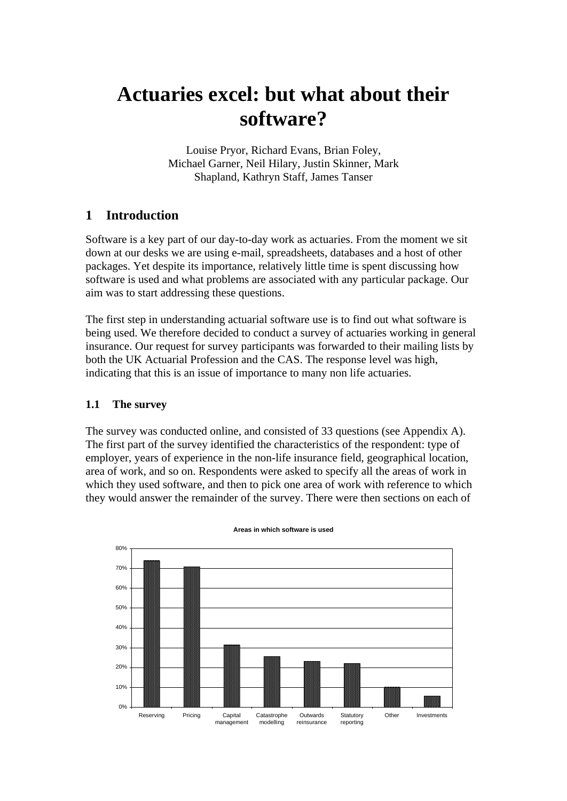# **Actuaries excel: but what about their software?**

Louise Pryor, Richard Evans, Brian Foley, Michael Garner, Neil Hilary, Justin Skinner, Mark Shapland, Kathryn Staff, James Tanser

# **1 Introduction**

Software is a key part of our day-to-day work as actuaries. From the moment we sit down at our desks we are using e-mail, spreadsheets, databases and a host of other packages. Yet despite its importance, relatively little time is spent discussing how software is used and what problems are associated with any particular package. Our aim was to start addressing these questions.

The first step in understanding actuarial software use is to find out what software is being used. We therefore decided to conduct a survey of actuaries working in general insurance. Our request for survey participants was forwarded to their mailing lists by both the UK Actuarial Profession and the CAS. The response level was high, indicating that this is an issue of importance to many non life actuaries.

#### **1.1 The survey**

The survey was conducted online, and consisted of 33 questions (see Appendix A). The first part of the survey identified the characteristics of the respondent: type of employer, years of experience in the non-life insurance field, geographical location, area of work, and so on. Respondents were asked to specify all the areas of work in which they used software, and then to pick one area of work with reference to which they would answer the remainder of the survey. There were then sections on each of



**Areas in which software is used**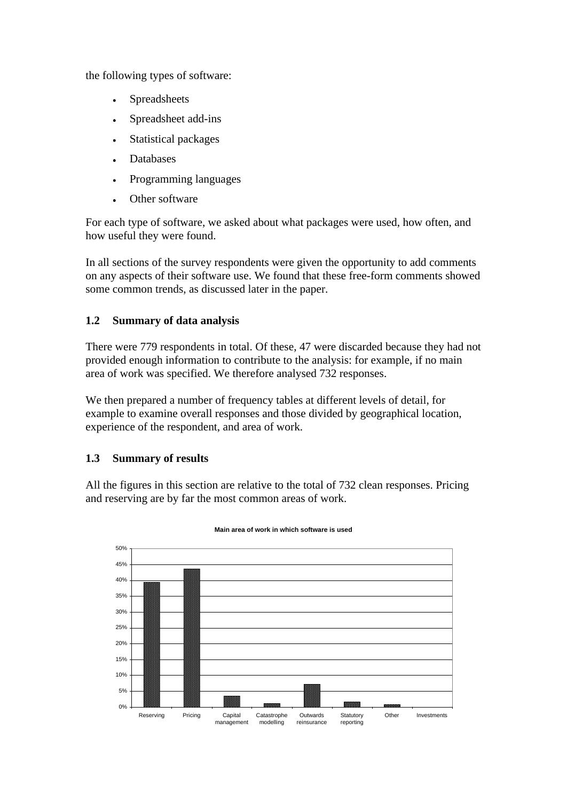the following types of software:

- Spreadsheets **Spreadsheets**
- Spreadsheet add-ins
- Statistical packages **Statistical** packages **Statistical** packages
- Databases
- Programming languages  $\bullet$
- Other software **Output**

For each type of software, we asked about what packages were used, how often, and how useful they were found.

In all sections of the survey respondents were given the opportunity to add comments on any aspects of their software use. We found that these free-form comments showed some common trends, as discussed later in the paper.

### **1.2 Summary of data analysis**

There were 779 respondents in total. Of these, 47 were discarded because they had not provided enough information to contribute to the analysis: for example, if no main area of work was specified. We therefore analysed 732 responses.

We then prepared a number of frequency tables at different levels of detail, for example to examine overall responses and those divided by geographical location, experience of the respondent, and area of work.

#### **1.3 Summary of results**

All the figures in this section are relative to the total of 732 clean responses. Pricing and reserving are by far the most common areas of work.



#### **Main area of work in which software is used**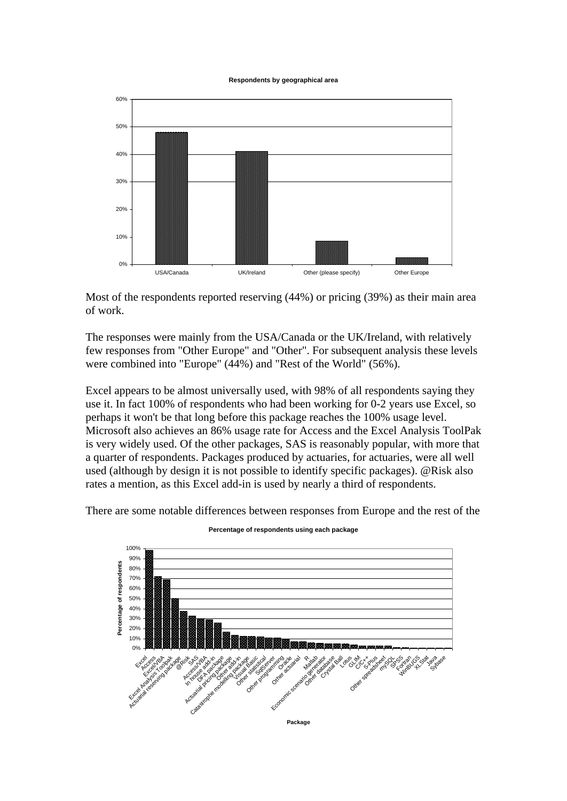**Respondents by geographical area**



Most of the respondents reported reserving (44%) or pricing (39%) as their main area of work.

The responses were mainly from the USA/Canada or the UK/Ireland, with relatively few responses from "Other Europe" and "Other". For subsequent analysis these levels were combined into "Europe" (44%) and "Rest of the World" (56%).

Excel appears to be almost universally used, with 98% of all respondents saying they use it. In fact 100% of respondents who had been working for 0-2 years use Excel, so perhaps it won't be that long before this package reaches the 100% usage level. Microsoft also achieves an 86% usage rate for Access and the Excel Analysis ToolPak is very widely used. Of the other packages, SAS is reasonably popular, with more that a quarter of respondents. Packages produced by actuaries, for actuaries, were all well used (although by design it is not possible to identify specific packages). @Risk also rates a mention, as this Excel add-in is used by nearly a third of respondents.

There are some notable differences between responses from Europe and the rest of the



**Percentage of respondents using each package**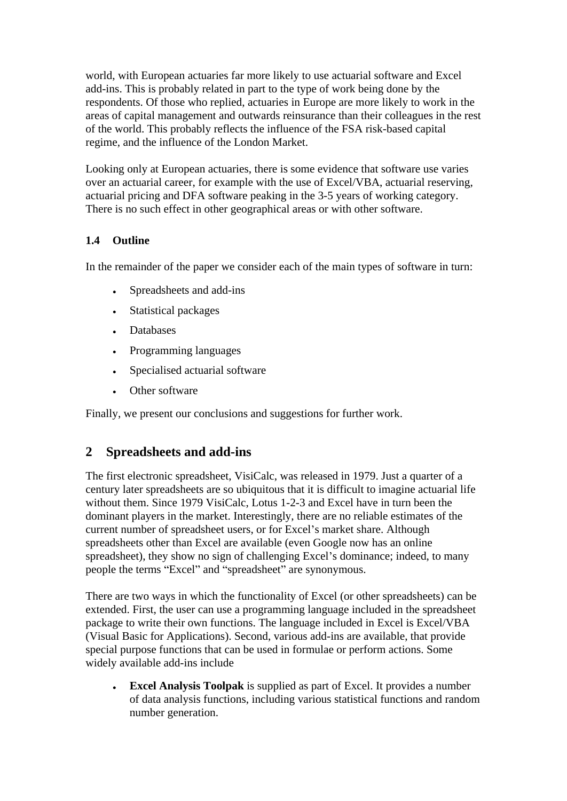world, with European actuaries far more likely to use actuarial software and Excel add-ins. This is probably related in part to the type of work being done by the respondents. Of those who replied, actuaries in Europe are more likely to work in the areas of capital management and outwards reinsurance than their colleagues in the rest of the world. This probably reflects the influence of the FSA risk-based capital regime, and the influence of the London Market.

Looking only at European actuaries, there is some evidence that software use varies over an actuarial career, for example with the use of Excel/VBA, actuarial reserving, actuarial pricing and DFA software peaking in the 3-5 years of working category. There is no such effect in other geographical areas or with other software.

### **1.4 Outline**

In the remainder of the paper we consider each of the main types of software in turn:

- Spreadsheets and add-ins  $\bullet$
- Statistical packages **Statistical** packages **Statistical** packages
- Databases
- Programming languages
- Specialised actuarial software  $\bullet$
- Other software **Output**

Finally, we present our conclusions and suggestions for further work.

### **2 Spreadsheets and add-ins**

The first electronic spreadsheet, VisiCalc, was released in 1979. Just a quarter of a century later spreadsheets are so ubiquitous that it is difficult to imagine actuarial life without them. Since 1979 VisiCalc, Lotus 1-2-3 and Excel have in turn been the dominant players in the market. Interestingly, there are no reliable estimates of the current number of spreadsheet users, or for Excel's market share. Although spreadsheets other than Excel are available (even Google now has an online spreadsheet), they show no sign of challenging Excel's dominance; indeed, to many people the terms "Excel" and "spreadsheet" are synonymous.

There are two ways in which the functionality of Excel (or other spreadsheets) can be extended. First, the user can use a programming language included in the spreadsheet package to write their own functions. The language included in Excel is Excel/VBA (Visual Basic for Applications). Second, various add-ins are available, that provide special purpose functions that can be used in formulae or perform actions. Some widely available add-ins include

**Excel Analysis Toolpak** is supplied as part of Excel. It provides a number of data analysis functions, including various statistical functions and random number generation.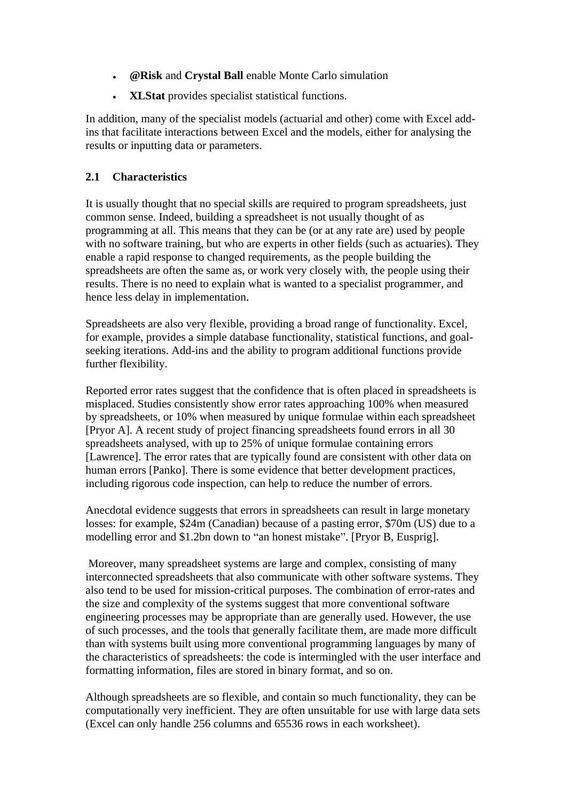- **@Risk** and **Crystal Ball** enable Monte Carlo simulation
- **XLStat** provides specialist statistical functions.

In addition, many of the specialist models (actuarial and other) come with Excel addins that facilitate interactions between Excel and the models, either for analysing the results or inputting data or parameters.

#### **2.1 Characteristics**

It is usually thought that no special skills are required to program spreadsheets, just common sense. Indeed, building a spreadsheet is not usually thought of as programming at all. This means that they can be (or at any rate are) used by people with no software training, but who are experts in other fields (such as actuaries). They enable a rapid response to changed requirements, as the people building the spreadsheets are often the same as, or work very closely with, the people using their results. There is no need to explain what is wanted to a specialist programmer, and hence less delay in implementation.

Spreadsheets are also very flexible, providing a broad range of functionality. Excel, for example, provides a simple database functionality, statistical functions, and goal seeking iterations. Add-ins and the ability to program additional functions provide further flexibility.

Reported error rates suggest that the confidence that is often placed in spreadsheets is misplaced. Studies consistently show error rates approaching 100% when measured by spreadsheets, or 10% when measured by unique formulae within each spreadsheet [Pryor A]. A recent study of project financing spreadsheets found errors in all 30 spreadsheets analysed, with up to 25% of unique formulae containing errors [Lawrence]. The error rates that are typically found are consistent with other data on human errors [Panko]. There is some evidence that better development practices, including rigorous code inspection, can help to reduce the number of errors.

Anecdotal evidence suggests that errors in spreadsheets can result in large monetary losses: for example, \$24m (Canadian) because of a pasting error, \$70m (US) due to a modelling error and \$1.2bn down to "an honest mistake". [Pryor B, Eusprig].

Moreover, many spreadsheet systems are large and complex, consisting of many interconnected spreadsheets that also communicate with other software systems. They also tend to be used for mission-critical purposes. The combination of error-rates and the size and complexity of the systems suggest that more conventional software engineering processes may be appropriate than are generally used. However, the use of such processes, and the tools that generally facilitate them, are made more difficult than with systems built using more conventional programming languages by many of the characteristics of spreadsheets: the code is intermingled with the user interface and formatting information, files are stored in binary format, and so on.

Although spreadsheets are so flexible, and contain so much functionality, they can be computationally very inefficient. They are often unsuitable for use with large data sets (Excel can only handle 256 columns and 65536 rows in each worksheet).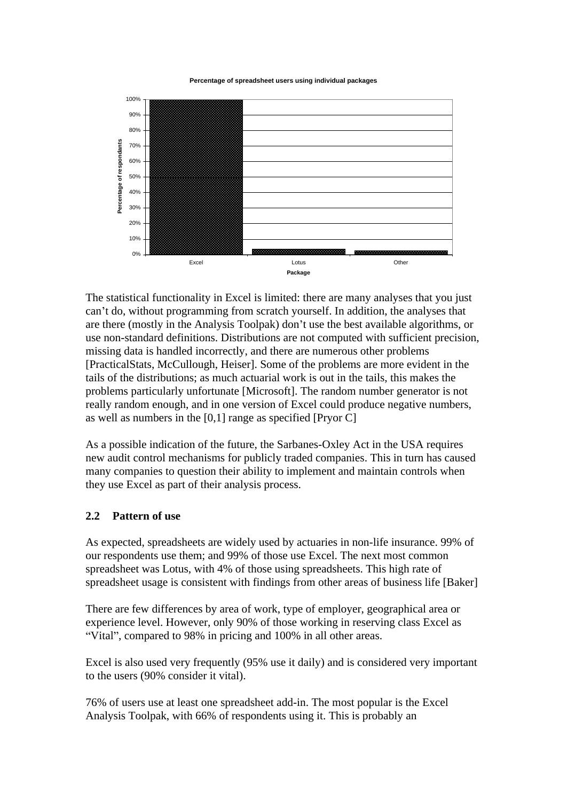#### **Percentage of spreadsheet users using individual packages**



The statistical functionality in Excel is limited: there are many analyses that you just can't do, without programming from scratch yourself. In addition, the analyses that are there (mostly in the Analysis Toolpak) don't use the best available algorithms, or use non-standard definitions. Distributions are not computed with sufficient precision, missing data is handled incorrectly, and there are numerous other problems [PracticalStats, McCullough, Heiser]. Some of the problems are more evident in the tails of the distributions; as much actuarial work is out in the tails, this makes the problems particularly unfortunate [Microsoft]. The random number generator is not really random enough, and in one version of Excel could produce negative numbers, as well as numbers in the  $[0,1]$  range as specified  $[Pryor C]$ 

As a possible indication of the future, the Sarbanes-Oxley Act in the USA requires new audit control mechanisms for publicly traded companies. This in turn has caused many companies to question their ability to implement and maintain controls when they use Excel as part of their analysis process.

#### **2.2 Pattern of use**

As expected, spreadsheets are widely used by actuaries in non-life insurance. 99% of our respondents use them; and 99% of those use Excel. The next most common spreadsheet was Lotus, with 4% of those using spreadsheets. This high rate of spreadsheet usage is consistent with findings from other areas of business life [Baker]

There are few differences by area of work, type of employer, geographical area or experience level. However, only 90% of those working in reserving class Excel as "Vital", compared to 98% in pricing and 100% in all other areas.

Excel is also used very frequently (95% use it daily) and is considered very important to the users (90% consider it vital).

76% of users use at least one spreadsheet add-in. The most popular is the Excel Analysis Toolpak, with 66% of respondents using it. This is probably an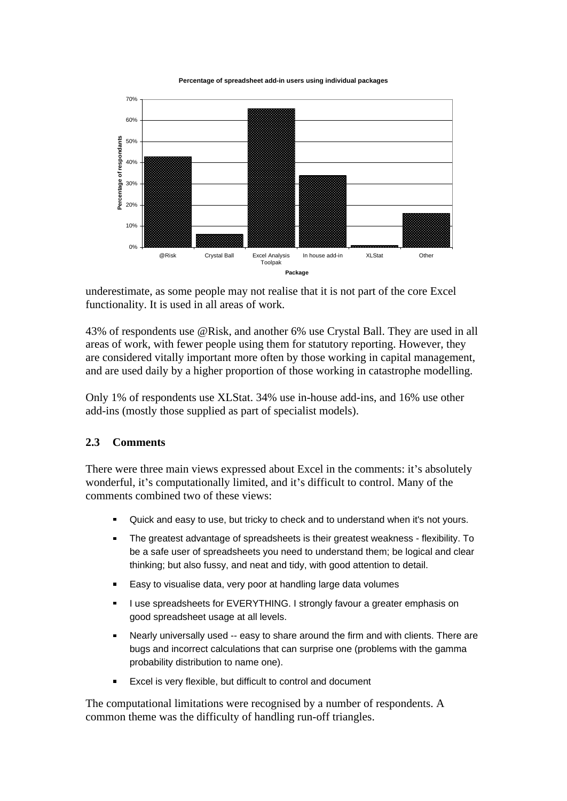**Percentage of spreadsheet add-in users using individual packages**



underestimate, as some people may not realise that it is not part of the core Excel functionality. It is used in all areas of work.

43% of respondents use @Risk, and another 6% use Crystal Ball. They are used in all areas of work, with fewer people using them for statutory reporting. However, they are considered vitally important more often by those working in capital management, and are used daily by a higher proportion of those working in catastrophe modelling.

Only 1% of respondents use XLStat. 34% use in-house add-ins, and 16% use other add-ins (mostly those supplied as part of specialist models).

#### **2.3 Comments**

There were three main views expressed about Excel in the comments: it's absolutely wonderful, it's computationally limited, and it's difficult to control. Many of the comments combined two of these views:

- Quick and easy to use, but tricky to check and to understand when it's not yours.  $\blacksquare$
- The greatest advantage of spreadsheets is their greatest weakness flexibility. To be a safe user of spreadsheets you need to understand them; be logical and clear thinking; but also fussy, and neat and tidy, with good attention to detail.
- Easy to visualise data, very poor at handling large data volumes  $\blacksquare$
- I use spreadsheets for EVERYTHING. I strongly favour a greater emphasis on good spreadsheet usage at all levels.
- Nearly universally used -- easy to share around the firm and with clients. There are bugs and incorrect calculations that can surprise one (problems with the gamma probability distribution to name one).
- Excel is very flexible, but difficult to control and document

The computational limitations were recognised by a number of respondents. A common theme was the difficulty of handling run-off triangles.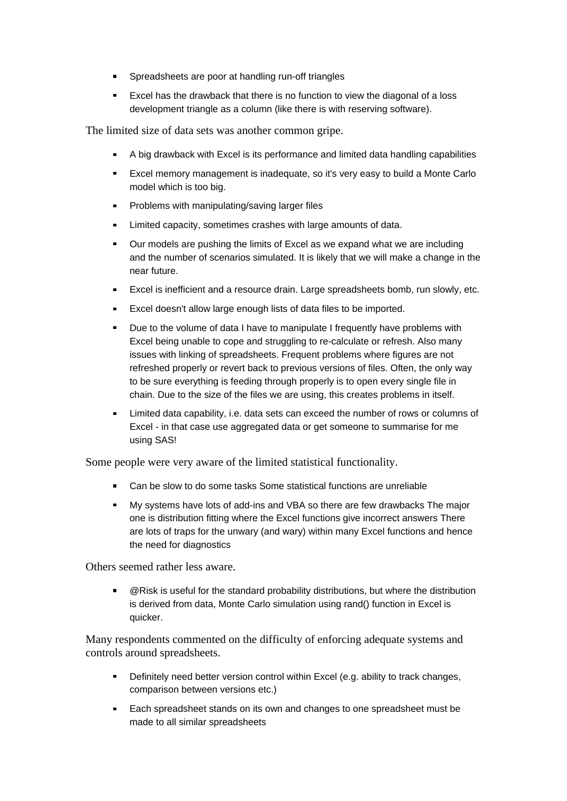- **Spreadsheets are poor at handling run-off triangles**
- **Excel has the drawback that there is no function to view the diagonal of a loss** development triangle as a column (like there is with reserving software).

The limited size of data sets was another common gripe.

- A big drawback with Excel is its performance and limited data handling capabilities
- Excel memory management is inadequate, so it's very easy to build a Monte Carlo model which is too big.
- **Problems with manipulating/saving larger files**
- **Limited capacity, sometimes crashes with large amounts of data.**
- **Dur models are pushing the limits of Excel as we expand what we are including** and the number of scenarios simulated. It is likely that we will make a change in the near future.
- Excel is inefficient and a resource drain. Large spreadsheets bomb, run slowly, etc.
- **Excel doesn't allow large enough lists of data files to be imported.**
- Due to the volume of data I have to manipulate I frequently have problems with  $\blacksquare$ Excel being unable to cope and struggling to re-calculate or refresh. Also many issues with linking of spreadsheets. Frequent problems where figures are not refreshed properly or revert back to previous versions of files. Often, the only way to be sure everything is feeding through properly is to open every single file in chain. Due to the size of the files we are using, this creates problems in itself.
- Limited data capability, i.e. data sets can exceed the number of rows or columns of Excel - in that case use aggregated data or get someone to summarise for me using SAS!

Some people were very aware of the limited statistical functionality.

- Can be slow to do some tasks Some statistical functions are unreliable
- My systems have lots of add-ins and VBA so there are few drawbacks The major one is distribution fitting where the Excel functions give incorrect answers There are lots of traps for the unwary (and wary) within many Excel functions and hence the need for diagnostics

Others seemed rather less aware.

@Risk is useful for the standard probability distributions, but where the distribution is derived from data, Monte Carlo simulation using rand() function in Excel is quicker. The contract of the contract of the contract of the contract of the contract of the contract of the contract of the contract of the contract of the contract of the contract of the contract of the contract of the c

Many respondents commented on the difficulty of enforcing adequate systems and controls around spreadsheets.

- **Definitely need better version control within Excel (e.g. ability to track changes,** comparison between versions etc.)
- **Each spreadsheet stands on its own and changes to one spreadsheet must be** made to all similar spreadsheets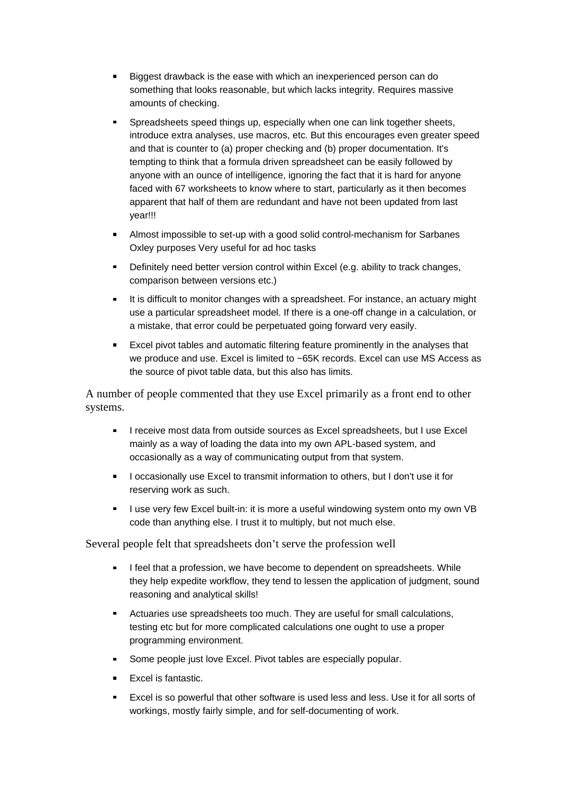- Biggest drawback is the ease with which an inexperienced person can do something that looks reasonable, but which lacks integrity. Requires massive amounts of checking.
- Spreadsheets speed things up, especially when one can link together sheets, introduce extra analyses, use macros, etc. But this encourages even greater speed and that is counter to (a) proper checking and (b) proper documentation. It's tempting to think that a formula driven spreadsheet can be easily followed by anyone with an ounce of intelligence, ignoring the fact that it is hard for anyone faced with 67 worksheets to know where to start, particularly as it then becomes apparent that half of them are redundant and have not been updated from last year!!!
- Almost impossible to set-up with a good solid control-mechanism for Sarbanes Oxley purposes Very useful for ad hoc tasks
- **Definitely need better version control within Excel (e.g. ability to track changes,** comparison between versions etc.)
- It is difficult to monitor changes with a spreadsheet. For instance, an actuary might use a particular spreadsheet model. If there is a one-off change in a calculation, or a mistake, that error could be perpetuated going forward very easily.
- **Excel pivot tables and automatic filtering feature prominently in the analyses that** we produce and use. Excel is limited to ~65K records. Excel can use MS Access as the source of pivot table data, but this also has limits.

A number of people commented that they use Excel primarily as a front end to other systems.

- I receive most data from outside sources as Excel spreadsheets, but I use Excel mainly as a way of loading the data into my own APL-based system, and occasionally as a way of communicating output from that system.
- I occasionally use Excel to transmit information to others, but I don't use it for reserving work as such.
- I use very few Excel built-in: it is more a useful windowing system onto my own VB code than anything else. I trust it to multiply, but not much else.

Several people felt that spreadsheets don't serve the profession well

- I feel that a profession, we have become to dependent on spreadsheets. While they help expedite workflow, they tend to lessen the application of judgment, sound reasoning and analytical skills!
- Actuaries use spreadsheets too much. They are useful for small calculations, testing etc but for more complicated calculations one ought to use a proper programming environment.
- Some people just love Excel. Pivot tables are especially popular.
- Excel is fantastic.
- **Excel is so powerful that other software is used less and less. Use it for all sorts of** workings, mostly fairly simple, and for self-documenting of work.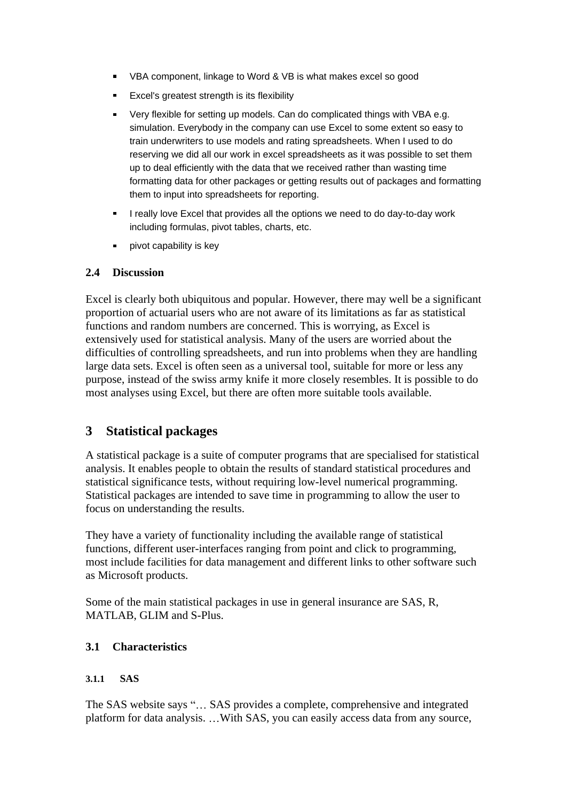- VBA component, linkage to Word & VB is what makes excel so good
- **Excel's greatest strength is its flexibility**
- Very flexible for setting up models. Can do complicated things with VBA e.g. simulation. Everybody in the company can use Excel to some extent so easy to train underwriters to use models and rating spreadsheets. When I used to do reserving we did all our work in excel spreadsheets as it was possible to set them up to deal efficiently with the data that we received rather than wasting time formatting data for other packages or getting results out of packages and formatting them to input into spreadsheets for reporting.
- I really love Excel that provides all the options we need to do day-to-day work including formulas, pivot tables, charts, etc.
- pivot capability is key

#### **2.4 Discussion**

Excel is clearly both ubiquitous and popular. However, there may well be a significant proportion of actuarial users who are not aware of its limitations as far as statistical functions and random numbers are concerned. This is worrying, as Excel is extensively used for statistical analysis. Many of the users are worried about the difficulties of controlling spreadsheets, and run into problems when they are handling large data sets. Excel is often seen as a universal tool, suitable for more or less any purpose, instead of the swiss army knife it more closely resembles. It is possible to do most analyses using Excel, but there are often more suitable tools available.

#### **3 Statistical packages**

A statistical package is a suite of computer programs that are specialised for statistical analysis. It enables people to obtain the results of standard statistical procedures and statistical significance tests, without requiring low-level numerical programming. Statistical packages are intended to save time in programming to allow the user to focus on understanding the results.

They have a variety of functionality including the available range of statistical functions, different user-interfaces ranging from point and click to programming, most include facilities for data management and different links to other software such as Microsoft products.

Some of the main statistical packages in use in general insurance are SAS, R, MATLAB, GLIM and S-Plus.

#### **3.1 Characteristics**

#### **3.1.1 SAS**

The SAS website says "... SAS provides a complete, comprehensive and integrated platform for data analysis. ... With SAS, you can easily access data from any source,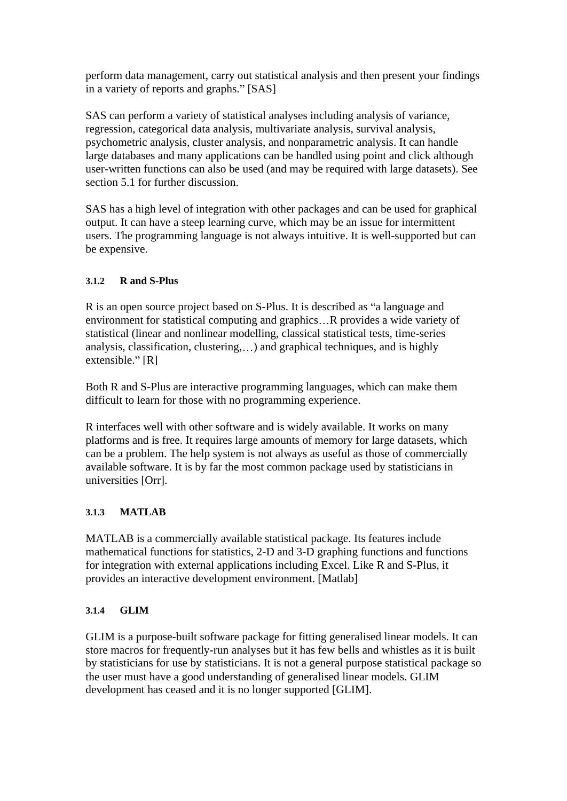perform data management, carry out statistical analysis and then present your findings in a variety of reports and graphs." [SAS]

SAS can perform a variety of statistical analyses including analysis of variance, regression, categorical data analysis, multivariate analysis, survival analysis, psychometric analysis, cluster analysis, and nonparametric analysis. It can handle large databases and many applications can be handled using point and click although user-written functions can also be used (and may be required with large datasets). See section 5.1 for further discussion.

SAS has a high level of integration with other packages and can be used for graphical output. It can have a steep learning curve, which may be an issue for intermittent users. The programming language is not always intuitive. It is well-supported but can be expensive.

### **3.1.2 R and S-Plus**

R is an open source project based on S-Plus. It is described as "a language and environment for statistical computing and graphics...R provides a wide variety of statistical (linear and nonlinear modelling, classical statistical tests, time-series analysis, classification, clustering,...) and graphical techniques, and is highly extensible." [R]

Both R and S-Plus are interactive programming languages, which can make them difficult to learn for those with no programming experience.

R interfaces well with other software and is widely available. It works on many platforms and is free. It requires large amounts of memory for large datasets, which can be a problem. The help system is not always as useful as those of commercially available software. It is by far the most common package used by statisticians in universities [Orr].

#### **3.1.3 MATLAB**

MATLAB is a commercially available statistical package. Its features include mathematical functions for statistics, 2-D and 3-D graphing functions and functions for integration with external applications including Excel. Like R and S-Plus, it provides an interactive development environment. [Matlab]

#### **3.1.4 GLIM**

GLIM is a purpose-built software package for fitting generalised linear models. It can store macros for frequently-run analyses but it has few bells and whistles as it is built by statisticians for use by statisticians. It is not a general purpose statistical package so the user must have a good understanding of generalised linear models. GLIM development has ceased and it is no longer supported [GLIM].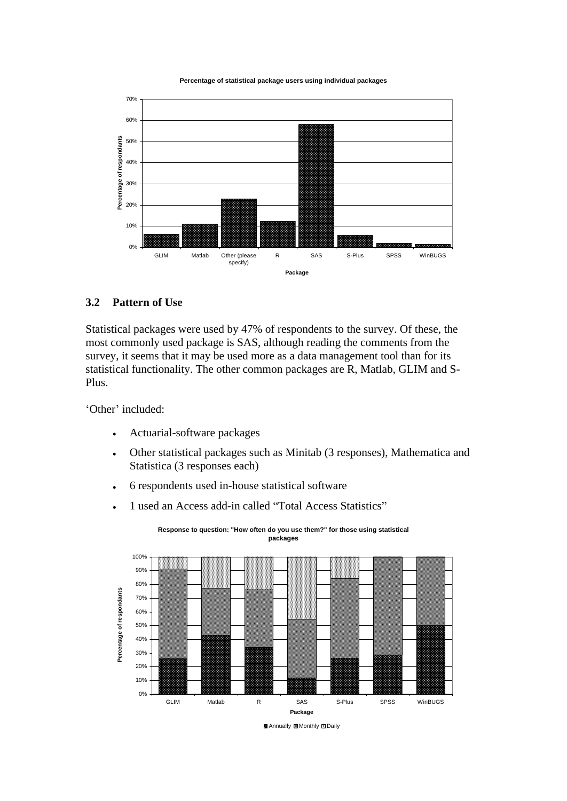**Percentage of statistical package users using individual packages**



#### **3.2 Pattern of Use**

Statistical packages were used by 47% of respondents to the survey. Of these, the most commonly used package is SAS, although reading the comments from the survey, it seems that it may be used more as a data management tool than for its statistical functionality. The other common packages are R, Matlab, GLIM and S- Plus.

Other' included:  $\blacksquare$ 

- Actuarial-software packages
- Other statistical packages such as Minitab (3 responses), Mathematica and  $\bullet$ Statistica (3 responses each)
- 6 respondents used in-house statistical software  $\bullet$
- 1 used an Access add-in called "Total Access Statistics"





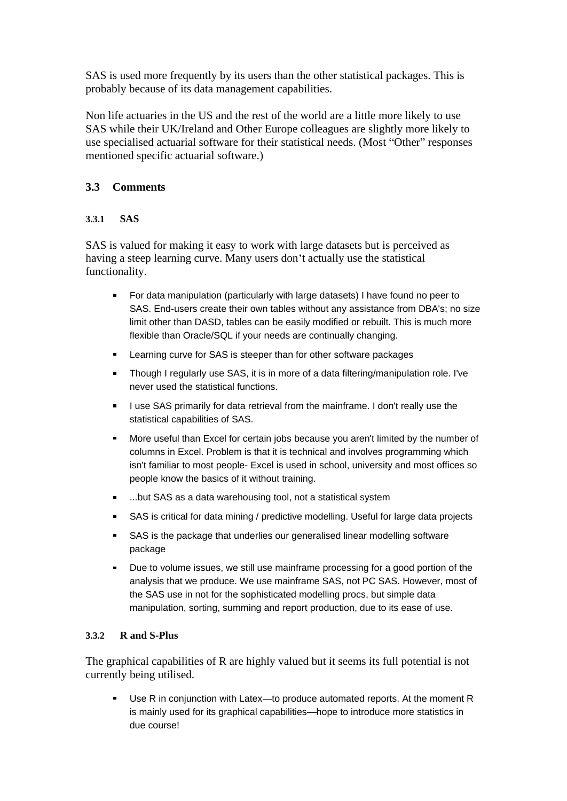SAS is used more frequently by its users than the other statistical packages. This is probably because of its data management capabilities.

Non life actuaries in the US and the rest of the world are a little more likely to use SAS while their UK/Ireland and Other Europe colleagues are slightly more likely to use specialised actuarial software for their statistical needs. (Most "Other" responses mentioned specific actuarial software.)

#### **3.3 Comments**

#### **3.3.1 SAS**

SAS is valued for making it easy to work with large datasets but is perceived as having a steep learning curve. Many users don't actually use the statistical functionality.

- For data manipulation (particularly with large datasets) I have found no peer to SAS. End-users create their own tables without any assistance from DBA's; no size limit other than DASD, tables can be easily modified or rebuilt. This is much more flexible than Oracle/SQL if your needs are continually changing.
- Learning curve for SAS is steeper than for other software packages  $\blacksquare$
- Though I regularly use SAS, it is in more of a data filtering/manipulation role. I've never used the statistical functions.
- I use SAS primarily for data retrieval from the mainframe. I don't really use the statistical capabilities of SAS.
- More useful than Excel for certain jobs because you aren't limited by the number of columns in Excel. Problem is that it is technical and involves programming which isn't familiar to most people- Excel is used in school, university and most offices so people know the basics of it without training.
- ...but SAS as a data warehousing tool, not a statistical system
- SAS is critical for data mining / predictive modelling. Useful for large data projects
- **SAS** is the package that underlies our generalised linear modelling software package
- Due to volume issues, we still use mainframe processing for a good portion of the analysis that we produce. We use mainframe SAS, not PC SAS. However, most of the SAS use in not for the sophisticated modelling procs, but simple data manipulation, sorting, summing and report production, due to its ease of use.

#### **3.3.2 R and S-Plus**

The graphical capabilities of R are highly valued but it seems its full potential is not currently being utilised.

Use R in conjunction with Latex-to produce automated reports. At the moment R is mainly used for its graphical capabilities—hope to introduce more statistics in due course!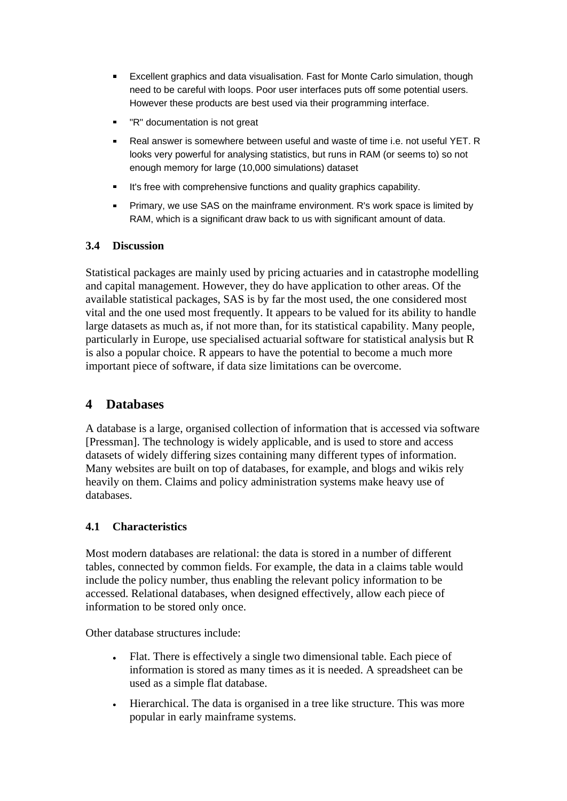- Excellent graphics and data visualisation. Fast for Monte Carlo simulation, though need to be careful with loops. Poor user interfaces puts off some potential users. However these products are best used via their programming interface.
- "R" documentation is not great
- Real answer is somewhere between useful and waste of time i.e. not useful YET. R looks very powerful for analysing statistics, but runs in RAM (or seems to) so not enough memory for large (10,000 simulations) dataset
- It's free with comprehensive functions and quality graphics capability.
- Primary, we use SAS on the mainframe environment. R's work space is limited by RAM, which is a significant draw back to us with significant amount of data.

#### **3.4 Discussion**

Statistical packages are mainly used by pricing actuaries and in catastrophe modelling and capital management. However, they do have application to other areas. Of the available statistical packages, SAS is by far the most used, the one considered most vital and the one used most frequently. It appears to be valued for its ability to handle large datasets as much as, if not more than, for its statistical capability. Many people, particularly in Europe, use specialised actuarial software for statistical analysis but R is also a popular choice. R appears to have the potential to become a much more important piece of software, if data size limitations can be overcome.

## **4 Databases**

A database is a large, organised collection of information that is accessed via software [Pressman]. The technology is widely applicable, and is used to store and access datasets of widely differing sizes containing many different types of information. Many websites are built on top of databases, for example, and blogs and wikis rely heavily on them. Claims and policy administration systems make heavy use of databases.

### **4.1 Characteristics**

Most modern databases are relational: the data is stored in a number of different tables, connected by common fields. For example, the data in a claims table would include the policy number, thus enabling the relevant policy information to be accessed. Relational databases, when designed effectively, allow each piece of information to be stored only once.

Other database structures include:

- Flat. There is effectively a single two dimensional table. Each piece of  $\bullet$ information is stored as many times as it is needed. A spreadsheet can be used as a simple flat database.
- Hierarchical. The data is organised in a tree like structure. This was more popular in early mainframe systems.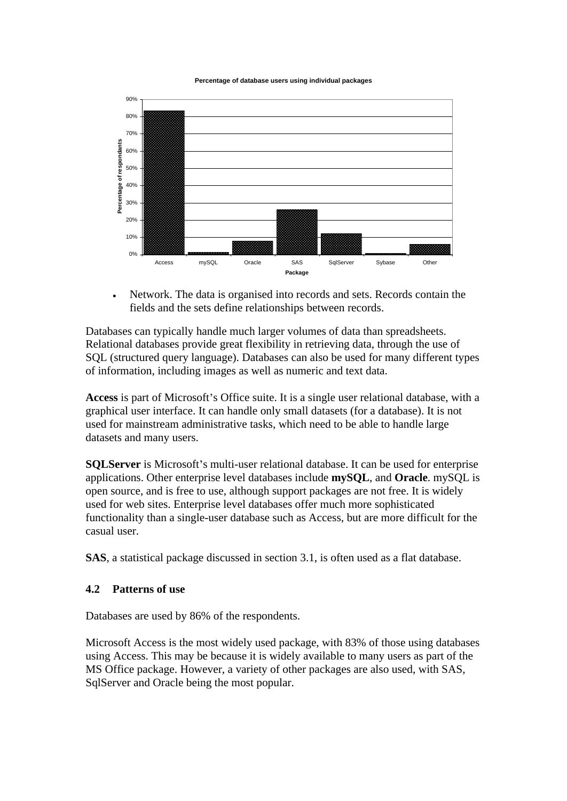



Network. The data is organised into records and sets. Records contain the fields and the sets define relationships between records.

Databases can typically handle much larger volumes of data than spreadsheets. Relational databases provide great flexibility in retrieving data, through the use of SQL (structured query language). Databases can also be used for many different types of information, including images as well as numeric and text data.

Access is part of Microsoft's Office suite. It is a single user relational database, with a graphical user interface. It can handle only small datasets (for a database). It is not used for mainstream administrative tasks, which need to be able to handle large datasets and many users.

**SQLServer** is Microsoft's multi-user relational database. It can be used for enterprise applications. Other enterprise level databases include **mySQL**, and **Oracle**. mySQL is open source, and is free to use, although support packages are not free. It is widely used for web sites. Enterprise level databases offer much more sophisticated functionality than a single-user database such as Access, but are more difficult for the casual user.

**SAS**, a statistical package discussed in section 3.1, is often used as a flat database.

#### **4.2 Patterns of use**

Databases are used by 86% of the respondents.

Microsoft Access is the most widely used package, with 83% of those using databases using Access. This may be because it is widely available to many users as part of the MS Office package. However, a variety of other packages are also used, with SAS, SqlServer and Oracle being the most popular.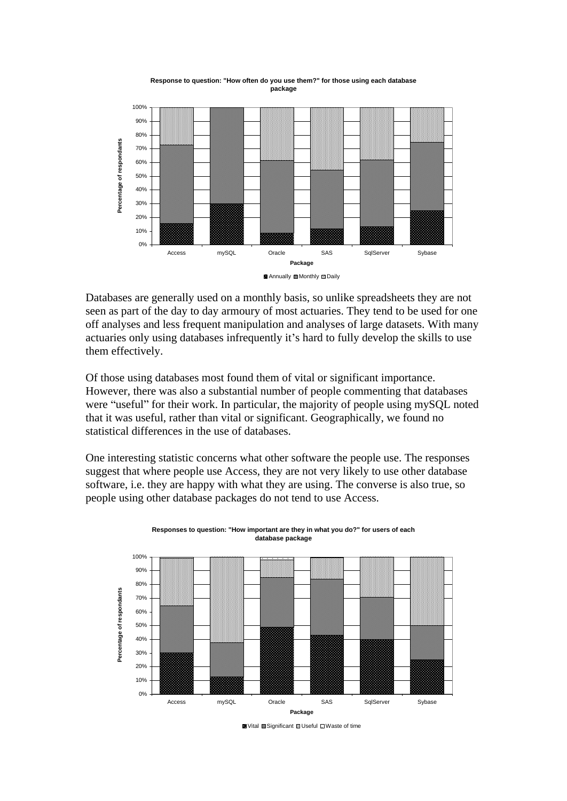

**Response to question: "How often do you use them?" for those using each database package**

Databases are generally used on a monthly basis, so unlike spreadsheets they are not

seen as part of the day to day armoury of most actuaries. They tend to be used for one off analyses and less frequent manipulation and analyses of large datasets. With many actuaries only using databases infrequently it's hard to fully develop the skills to use them effectively.

Of those using databases most found them of vital or significant importance. However, there was also a substantial number of people commenting that databases were "useful" for their work. In particular, the majority of people using mySQL noted that it was useful, rather than vital or significant. Geographically, we found no statistical differences in the use of databases.

One interesting statistic concerns what other software the people use. The responses suggest that where people use Access, they are not very likely to use other database software, i.e. they are happy with what they are using. The converse is also true, so people using other database packages do not tend to use Access.





Vital Significant Useful Waste of time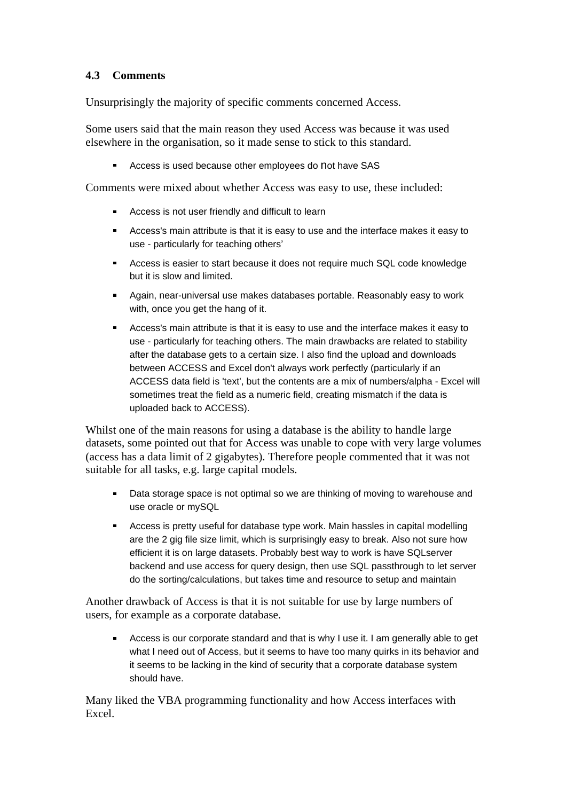### **4.3 Comments**

Unsurprisingly the majority of specific comments concerned Access.

Some users said that the main reason they used Access was because it was used elsewhere in the organisation, so it made sense to stick to this standard.

**Access is used because other employees do not have SAS** 

Comments were mixed about whether Access was easy to use, these included:

- **Access is not user friendly and difficult to learn**
- Access's main attribute is that it is easy to use and the interface makes it easy to use - particularly for teaching others
- **Access is easier to start because it does not require much SQL code knowledge** but it is slow and limited.
- Again, near-universal use makes databases portable. Reasonably easy to work with, once you get the hang of it.
- Access's main attribute is that it is easy to use and the interface makes it easy to use - particularly for teaching others. The main drawbacks are related to stability after the database gets to a certain size. I also find the upload and downloads between ACCESS and Excel don't always work perfectly (particularly if an ACCESS data field is 'text', but the contents are a mix of numbers/alpha - Excel will sometimes treat the field as a numeric field, creating mismatch if the data is uploaded back to ACCESS).

Whilst one of the main reasons for using a database is the ability to handle large datasets, some pointed out that for Access was unable to cope with very large volumes (access has a data limit of 2 gigabytes). Therefore people commented that it was not suitable for all tasks, e.g. large capital models.

- **Data storage space is not optimal so we are thinking of moving to warehouse and** use oracle or mySQL
- Access is pretty useful for database type work. Main hassles in capital modelling are the 2 gig file size limit, which is surprisingly easy to break. Also not sure how efficient it is on large datasets. Probably best way to work is have SQLserver backend and use access for query design, then use SQL passthrough to let server do the sorting/calculations, but takes time and resource to setup and maintain

Another drawback of Access is that it is not suitable for use by large numbers of users, for example as a corporate database.

Access is our corporate standard and that is why I use it. I am generally able to get what I need out of Access, but it seems to have too many quirks in its behavior and it seems to be lacking in the kind of security that a corporate database system should have. The same state of the state of the state of the state of the state of the state of the state of the state of the state of the state of the state of the state of the state of the state of the state of the state

Many liked the VBA programming functionality and how Access interfaces with Excel.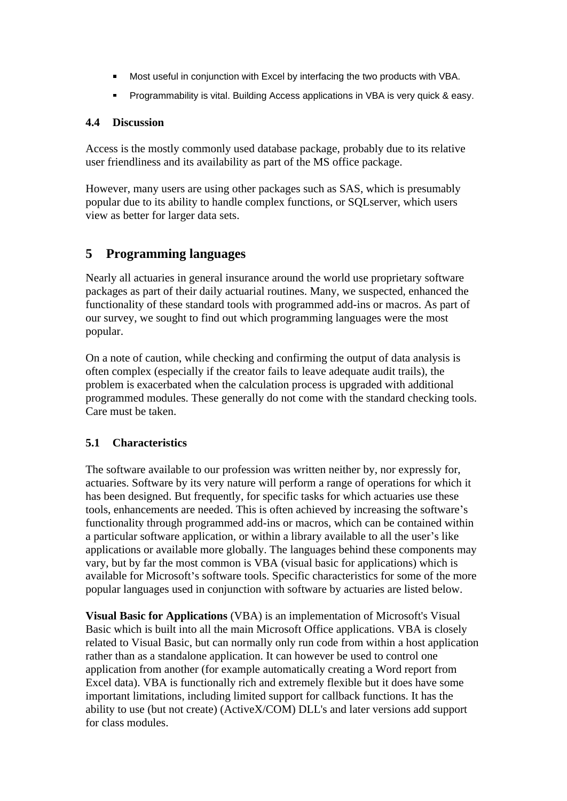- **Most useful in conjunction with Excel by interfacing the two products with VBA.**
- **Programmability is vital. Building Access applications in VBA is very quick & easy.**

#### **4.4 Discussion**

Access is the mostly commonly used database package, probably due to its relative user friendliness and its availability as part of the MS office package.

However, many users are using other packages such as SAS, which is presumably popular due to its ability to handle complex functions, or SQLserver, which users view as better for larger data sets.

### **5 Programming languages**

Nearly all actuaries in general insurance around the world use proprietary software packages as part of their daily actuarial routines. Many, we suspected, enhanced the functionality of these standard tools with programmed add-ins or macros. As part of our survey, we sought to find out which programming languages were the most popular. The contract of the contract of the contract of the contract of the contract of the contract of the contract of the contract of the contract of the contract of the contract of the contract of the contract of the c

On a note of caution, while checking and confirming the output of data analysis is often complex (especially if the creator fails to leave adequate audit trails), the problem is exacerbated when the calculation process is upgraded with additional programmed modules. These generally do not come with the standard checking tools. Care must be taken.

#### **5.1 Characteristics**

The software available to our profession was written neither by, nor expressly for, actuaries. Software by its very nature will perform a range of operations for which it has been designed. But frequently, for specific tasks for which actuaries use these tools, enhancements are needed. This is often achieved by increasing the software's functionality through programmed add-ins or macros, which can be contained within a particular software application, or within a library available to all the user's like applications or available more globally. The languages behind these components may vary, but by far the most common is VBA (visual basic for applications) which is available for Microsoft's software tools. Specific characteristics for some of the more popular languages used in conjunction with software by actuaries are listed below.

**Visual Basic for Applications** (VBA) is an implementation of Microsoft's Visual Basic which is built into all the main Microsoft Office applications. VBA is closely related to Visual Basic, but can normally only run code from within a host application rather than as a standalone application. It can however be used to control one application from another (for example automatically creating a Word report from Excel data). VBA is functionally rich and extremely flexible but it does have some important limitations, including limited support for callback functions. It has the ability to use (but not create) (ActiveX/COM) DLL's and later versions add support for class modules.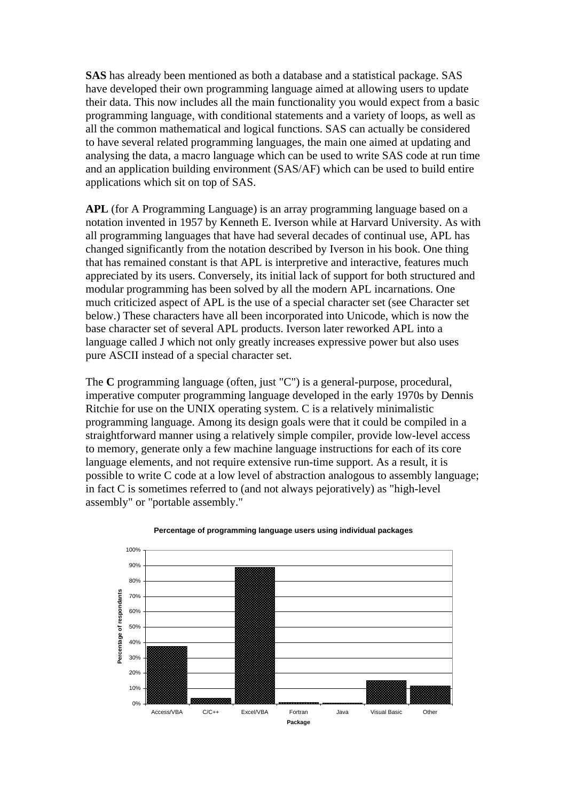**SAS** has already been mentioned as both a database and a statistical package. SAS have developed their own programming language aimed at allowing users to update their data. This now includes all the main functionality you would expect from a basic programming language, with conditional statements and a variety of loops, as well as all the common mathematical and logical functions. SAS can actually be considered to have several related programming languages, the main one aimed at updating and analysing the data, a macro language which can be used to write SAS code at run time and an application building environment (SAS/AF) which can be used to build entire applications which sit on top of SAS.

**APL** (for A Programming Language) is an array programming language based on a notation invented in 1957 by Kenneth E. Iverson while at Harvard University. As with all programming languages that have had several decades of continual use, APL has changed significantly from the notation described by Iverson in his book. One thing that has remained constant is that APL is interpretive and interactive, features much appreciated by its users. Conversely, its initial lack of support for both structured and modular programming has been solved by all the modern APL incarnations. One much criticized aspect of APL is the use of a special character set (see Character set below.) These characters have all been incorporated into Unicode, which is now the base character set of several APL products. Iverson later reworked APL into a language called J which not only greatly increases expressive power but also uses pure ASCII instead of a special character set.

The **<sup>C</sup>** programming language (often, just "C") is a general-purpose, procedural, imperative computer programming language developed in the early 1970s by Dennis Ritchie for use on the UNIX operating system. C is a relatively minimalistic programming language. Among its design goals were that it could be compiled in a straightforward manner using a relatively simple compiler, provide low-level access to memory, generate only a few machine language instructions for each of its core language elements, and not require extensive run-time support. As a result, it is possible to write C code at a low level of abstraction analogous to assembly language; in fact C is sometimes referred to (and not always pejoratively) as "high-level assembly" or "portable assembly."



#### **Percentage of programming language users using individual packages**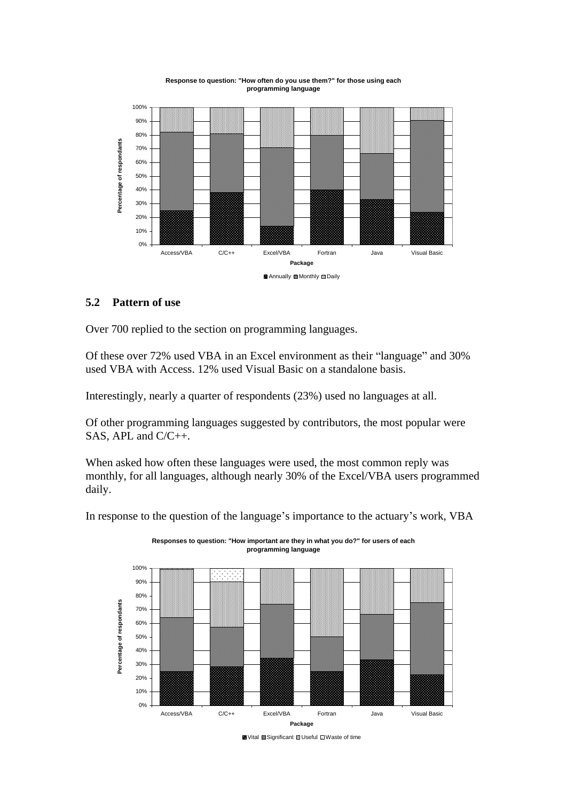

# **programming language**

#### **5.2 Pattern of use**

Over 700 replied to the section on programming languages.

Of these over 72% used VBA in an Excel environment as their "language" and 30% used VBA with Access. 12% used Visual Basic on a standalone basis.

Interestingly, nearly a quarter of respondents (23%) used no languages at all.

Of other programming languages suggested by contributors, the most popular were SAS, APL and C/C++.

When asked how often these languages were used, the most common reply was monthly, for all languages, although nearly 30% of the Excel/VBA users programmed daily.

In response to the question of the language's importance to the actuary's work, VBA



**Responses to question: "How important are they in what you do?" for users of each programming language**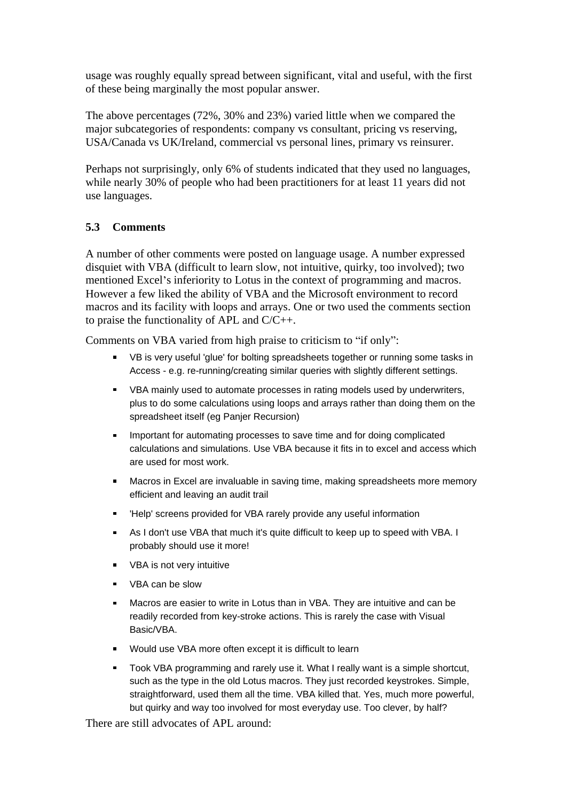usage was roughly equally spread between significant, vital and useful, with the first of these being marginally the most popular answer.

The above percentages (72%, 30% and 23%) varied little when we compared the major subcategories of respondents: company vs consultant, pricing vs reserving, USA/Canada vs UK/Ireland, commercial vs personal lines, primary vs reinsurer.

Perhaps not surprisingly, only 6% of students indicated that they used no languages, while nearly 30% of people who had been practitioners for at least 11 years did not use languages.

#### **5.3 Comments**

A number of other comments were posted on language usage. A number expressed disquiet with VBA (difficult to learn slow, not intuitive, quirky, too involved); two mentioned Excel's inferiority to Lotus in the context of programming and macros. However a few liked the ability of VBA and the Microsoft environment to record macros and its facility with loops and arrays. One or two used the comments section to praise the functionality of APL and C/C++.

Comments on VBA varied from high praise to criticism to "if only":

- VB is very useful 'glue' for bolting spreadsheets together or running some tasks in Access - e.g. re-running/creating similar queries with slightly different settings.
- VBA mainly used to automate processes in rating models used by underwriters, plus to do some calculations using loops and arrays rather than doing them on the spreadsheet itself (eg Panjer Recursion)
- Important for automating processes to save time and for doing complicated calculations and simulations. Use VBA because it fits in to excel and access which are used for most work.
- Macros in Excel are invaluable in saving time, making spreadsheets more memory efficient and leaving an audit trail
- 'Help' screens provided for VBA rarely provide any useful information
- As I don't use VBA that much it's quite difficult to keep up to speed with VBA. I probably should use it more!
- VBA is not very intuitive
- VBA can be slow
- Macros are easier to write in Lotus than in VBA. They are intuitive and can be readily recorded from key-stroke actions. This is rarely the case with Visual Basic/VBA.
- Would use VBA more often except it is difficult to learn
- Took VBA programming and rarely use it. What I really want is a simple shortcut, such as the type in the old Lotus macros. They just recorded keystrokes. Simple, straightforward, used them all the time. VBA killed that. Yes, much more powerful, but quirky and way too involved for most everyday use. Too clever, by half?

There are still advocates of APL around: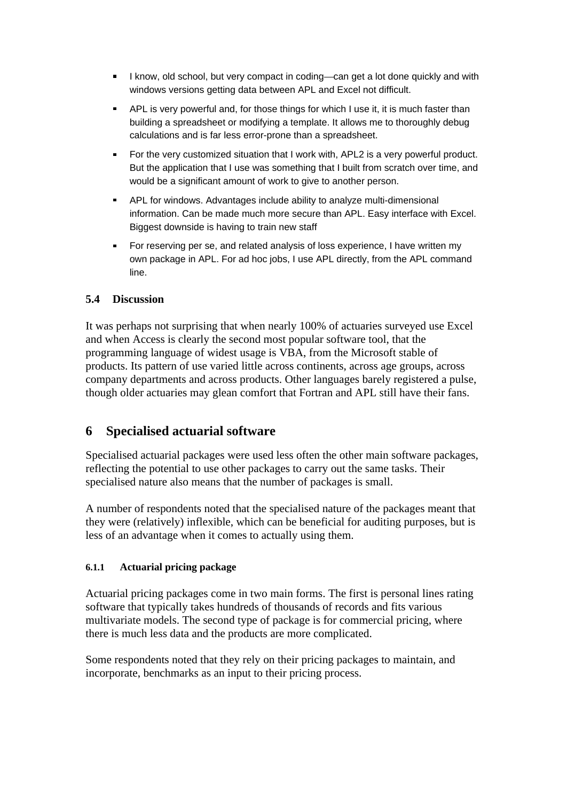- I know, old school, but very compact in coding—can get a lot done quickly and with windows versions getting data between APL and Excel not difficult.
- APL is very powerful and, for those things for which I use it, it is much faster than building a spreadsheet or modifying a template. It allows me to thoroughly debug calculations and is far less error-prone than a spreadsheet.
- For the very customized situation that I work with, APL2 is a very powerful product. But the application that I use was something that I built from scratch over time, and would be a significant amount of work to give to another person.
- APL for windows. Advantages include ability to analyze multi-dimensional information. Can be made much more secure than APL. Easy interface with Excel. Biggest downside is having to train new staff
- For reserving per se, and related analysis of loss experience, I have written my own package in APL. For ad hoc jobs, I use APL directly, from the APL command line. The contract of the contract of the contract of the contract of the contract of the contract of the contract of the contract of the contract of the contract of the contract of the contract of the contract of the cont

#### **5.4 Discussion**

It was perhaps not surprising that when nearly 100% of actuaries surveyed use Excel and when Access is clearly the second most popular software tool, that the programming language of widest usage is VBA, from the Microsoft stable of products. Its pattern of use varied little across continents, across age groups, across company departments and across products. Other languages barely registered a pulse, though older actuaries may glean comfort that Fortran and APL still have their fans.

### **6 Specialised actuarial software**

Specialised actuarial packages were used less often the other main software packages, reflecting the potential to use other packages to carry out the same tasks. Their specialised nature also means that the number of packages is small.

A number of respondents noted that the specialised nature of the packages meant that they were (relatively) inflexible, which can be beneficial for auditing purposes, but is less of an advantage when it comes to actually using them.

#### **6.1.1 Actuarial pricing package**

Actuarial pricing packages come in two main forms. The first is personal lines rating software that typically takes hundreds of thousands of records and fits various multivariate models. The second type of package is for commercial pricing, where there is much less data and the products are more complicated.

Some respondents noted that they rely on their pricing packages to maintain, and incorporate, benchmarks as an input to their pricing process.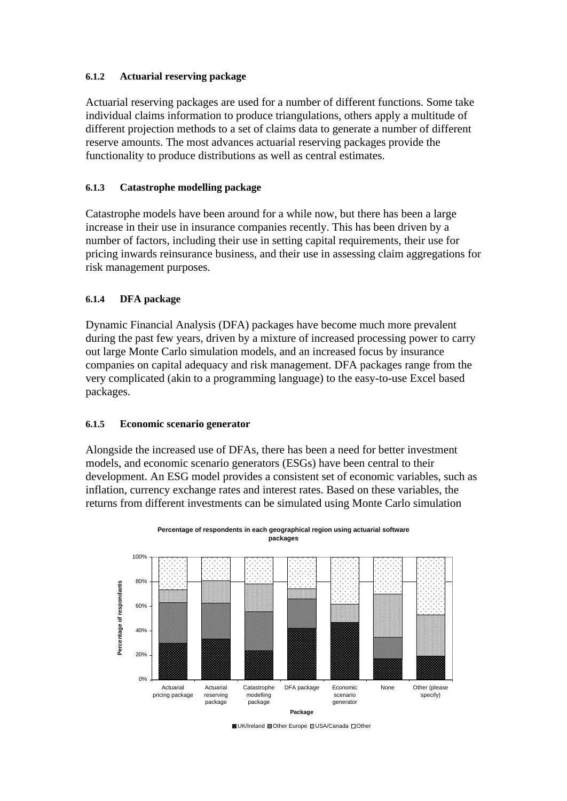#### **6.1.2 Actuarial reserving package**

Actuarial reserving packages are used for a number of different functions. Some take individual claims information to produce triangulations, others apply a multitude of different projection methods to a set of claims data to generate a number of different reserve amounts. The most advances actuarial reserving packages provide the functionality to produce distributions as well as central estimates.

#### **6.1.3 Catastrophe modelling package**

Catastrophe models have been around for a while now, but there has been a large increase in their use in insurance companies recently. This has been driven by a number of factors, including their use in setting capital requirements, their use for pricing inwards reinsurance business, and their use in assessing claim aggregations for risk management purposes.

#### **6.1.4 DFA package**

Dynamic Financial Analysis (DFA) packages have become much more prevalent during the past few years, driven by a mixture of increased processing power to carry out large Monte Carlo simulation models, and an increased focus by insurance companies on capital adequacy and risk management. DFA packages range from the very complicated (akin to a programming language) to the easy-to-use Excel based packages. The contract of the contract of the contract of the contract of the contract of the contract of the contract of the contract of the contract of the contract of the contract of the contract of the contract of the

#### **6.1.5 Economic scenario generator**

Alongside the increased use of DFAs, there has been a need for better investment models, and economic scenario generators (ESGs) have been central to their development. An ESG model provides a consistent set of economic variables, such as inflation, currency exchange rates and interest rates. Based on these variables, the returns from different investments can be simulated using Monte Carlo simulation



**Percentage of respondents in each geographical region using actuarial software packages**

<sup>■</sup> UK/Ireland 國 Other Europe 四 USA/Canada □ Other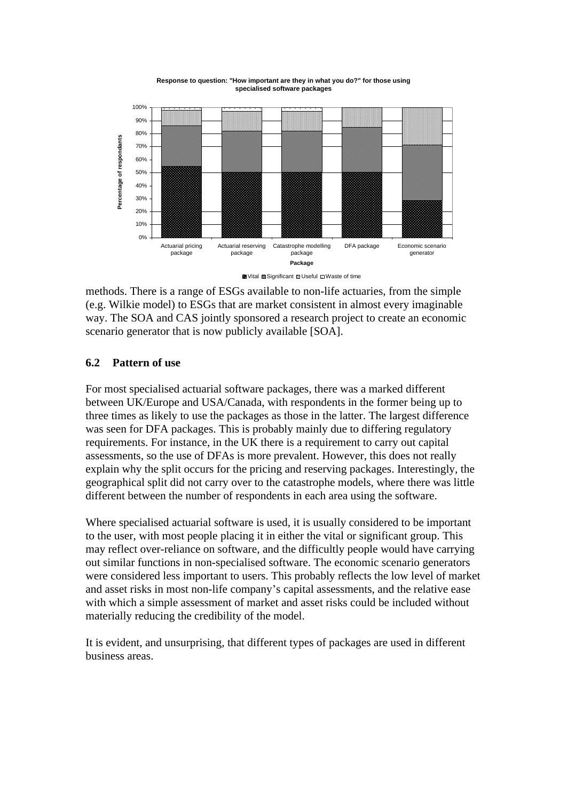

**Response to question: "How important are they in what you do?" for those using specialised software packages**

Vital Significant Useful Waste of time

methods. There is a range of ESGs available to non-life actuaries, from the simple (e.g. Wilkie model) to ESGs that are market consistent in almost every imaginable way. The SOA and CAS jointly sponsored a research project to create an economic scenario generator that is now publicly available [SOA].

#### **6.2 Pattern of use**

For most specialised actuarial software packages, there was a marked different between UK/Europe and USA/Canada, with respondents in the former being up to three times as likely to use the packages as those in the latter. The largest difference was seen for DFA packages. This is probably mainly due to differing regulatory requirements. For instance, in the UK there is a requirement to carry out capital assessments, so the use of DFAs is more prevalent. However, this does not really explain why the split occurs for the pricing and reserving packages. Interestingly, the geographical split did not carry over to the catastrophe models, where there was little different between the number of respondents in each area using the software.

Where specialised actuarial software is used, it is usually considered to be important to the user, with most people placing it in either the vital or significant group. This may reflect over-reliance on software, and the difficultly people would have carrying out similar functions in non-specialised software. The economic scenario generators were considered less important to users. This probably reflects the low level of market and asset risks in most non-life company s capital assessments, and the relative ease with which a simple assessment of market and asset risks could be included without materially reducing the credibility of the model.

It is evident, and unsurprising, that different types of packages are used in different business areas.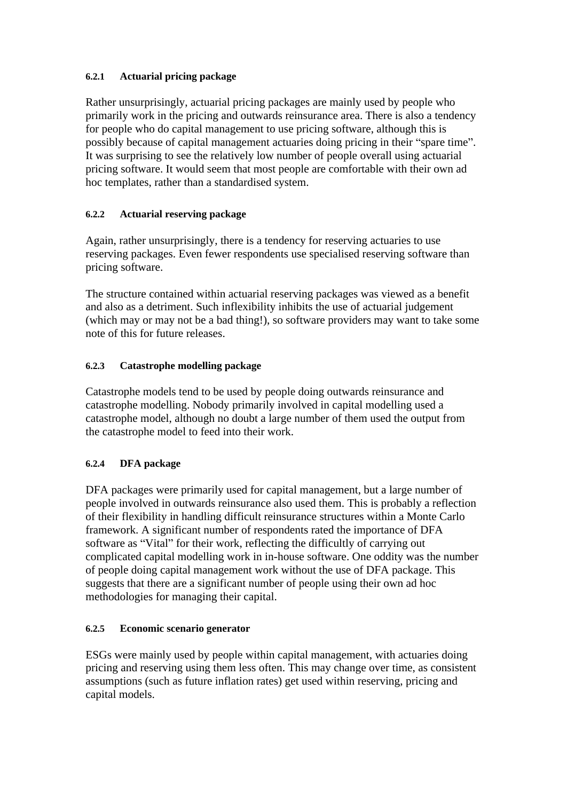#### **6.2.1 Actuarial pricing package**

Rather unsurprisingly, actuarial pricing packages are mainly used by people who primarily work in the pricing and outwards reinsurance area. There is also a tendency for people who do capital management to use pricing software, although this is possibly because of capital management actuaries doing pricing in their "spare time". It was surprising to see the relatively low number of people overall using actuarial pricing software. It would seem that most people are comfortable with their own ad hoc templates, rather than a standardised system.

#### **6.2.2 Actuarial reserving package**

Again, rather unsurprisingly, there is a tendency for reserving actuaries to use reserving packages. Even fewer respondents use specialised reserving software than pricing software.

The structure contained within actuarial reserving packages was viewed as a benefit and also as a detriment. Such inflexibility inhibits the use of actuarial judgement (which may or may not be a bad thing!), so software providers may want to take some note of this for future releases.

#### **6.2.3 Catastrophe modelling package**

Catastrophe models tend to be used by people doing outwards reinsurance and catastrophe modelling. Nobody primarily involved in capital modelling used a catastrophe model, although no doubt a large number of them used the output from the catastrophe model to feed into their work.

#### **6.2.4 DFA package**

DFA packages were primarily used for capital management, but a large number of people involved in outwards reinsurance also used them. This is probably a reflection of their flexibility in handling difficult reinsurance structures within a Monte Carlo framework. A significant number of respondents rated the importance of DFA software as "Vital" for their work, reflecting the difficultly of carrying out complicated capital modelling work in in-house software. One oddity was the number of people doing capital management work without the use of DFA package. This suggests that there are a significant number of people using their own ad hoc methodologies for managing their capital.

#### **6.2.5 Economic scenario generator**

ESGs were mainly used by people within capital management, with actuaries doing pricing and reserving using them less often. This may change over time, as consistent assumptions (such as future inflation rates) get used within reserving, pricing and capital models.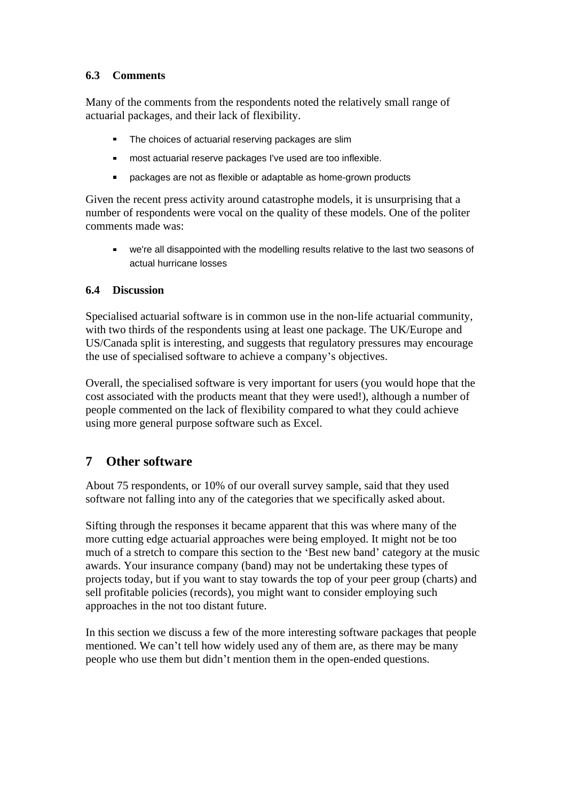### **6.3 Comments**

Many of the comments from the respondents noted the relatively small range of actuarial packages, and their lack of flexibility.

- The choices of actuarial reserving packages are slim
- most actuarial reserve packages I've used are too inflexible.  $\blacksquare$
- $\blacksquare$ packages are not as flexible or adaptable as home-grown products

Given the recent press activity around catastrophe models, it is unsurprising that a number of respondents were vocal on the quality of these models. One of the politer comments made was:

we're all disappointed with the modelling results relative to the last two seasons of actual hurricane losses

#### **6.4 Discussion**

Specialised actuarial software is in common use in the non-life actuarial community, with two thirds of the respondents using at least one package. The UK/Europe and US/Canada split is interesting, and suggests that regulatory pressures may encourage the use of specialised software to achieve a company's objectives.

Overall, the specialised software is very important for users (you would hope that the cost associated with the products meant that they were used!), although a number of people commented on the lack of flexibility compared to what they could achieve using more general purpose software such as Excel.

### **7 Other software**

About 75 respondents, or 10% of our overall survey sample, said that they used software not falling into any of the categories that we specifically asked about.

Sifting through the responses it became apparent that this was where many of the more cutting edge actuarial approaches were being employed. It might not be too much of a stretch to compare this section to the 'Best new band' category at the music awards. Your insurance company (band) may not be undertaking these types of projects today, but if you want to stay towards the top of your peer group (charts) and sell profitable policies (records), you might want to consider employing such approaches in the not too distant future.

In this section we discuss a few of the more interesting software packages that people mentioned. We can't tell how widely used any of them are, as there may be many people who use them but didn't mention them in the open-ended questions.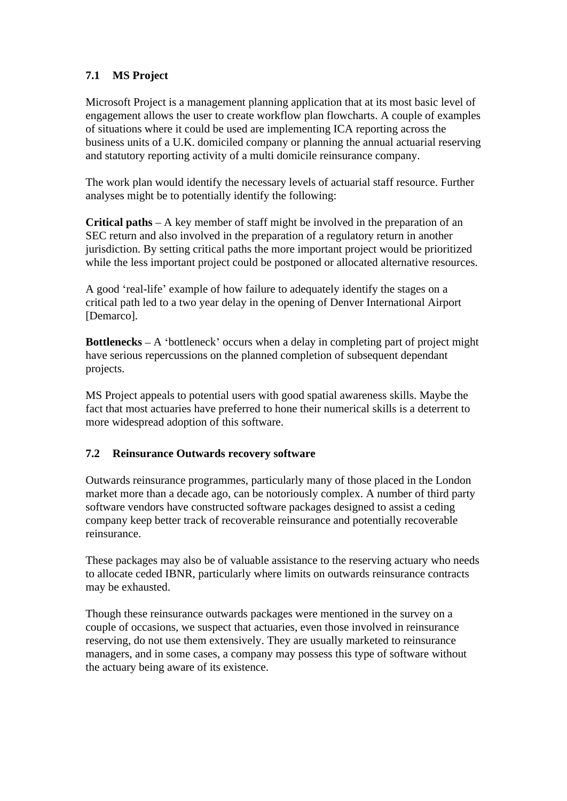### **7.1 MS Project**

Microsoft Project is a management planning application that at its most basic level of engagement allows the user to create workflow plan flowcharts. A couple of examples of situations where it could be used are implementing ICA reporting across the business units of a U.K. domiciled company or planning the annual actuarial reserving and statutory reporting activity of a multi domicile reinsurance company.

The work plan would identify the necessary levels of actuarial staff resource. Further analyses might be to potentially identify the following:

**Critical paths**  $-A$  key member of staff might be involved in the preparation of an SEC return and also involved in the preparation of a regulatory return in another jurisdiction. By setting critical paths the more important project would be prioritized while the less important project could be postponed or allocated alternative resources.

A good 'real-life' example of how failure to adequately identify the stages on a critical path led to a two year delay in the opening of Denver International Airport [Demarco].

**Bottlenecks**  $-A$  'bottleneck' occurs when a delay in completing part of project might have serious repercussions on the planned completion of subsequent dependant projects.

MS Project appeals to potential users with good spatial awareness skills. Maybe the fact that most actuaries have preferred to hone their numerical skills is a deterrent to more widespread adoption of this software.

### **7.2 Reinsurance Outwards recovery software**

Outwards reinsurance programmes, particularly many of those placed in the London market more than a decade ago, can be notoriously complex. A number of third party software vendors have constructed software packages designed to assist a ceding company keep better track of recoverable reinsurance and potentially recoverable reinsurance.

These packages may also be of valuable assistance to the reserving actuary who needs to allocate ceded IBNR, particularly where limits on outwards reinsurance contracts may be exhausted.

Though these reinsurance outwards packages were mentioned in the survey on a couple of occasions, we suspect that actuaries, even those involved in reinsurance reserving, do not use them extensively. They are usually marketed to reinsurance managers, and in some cases, a company may possess this type of software without the actuary being aware of its existence.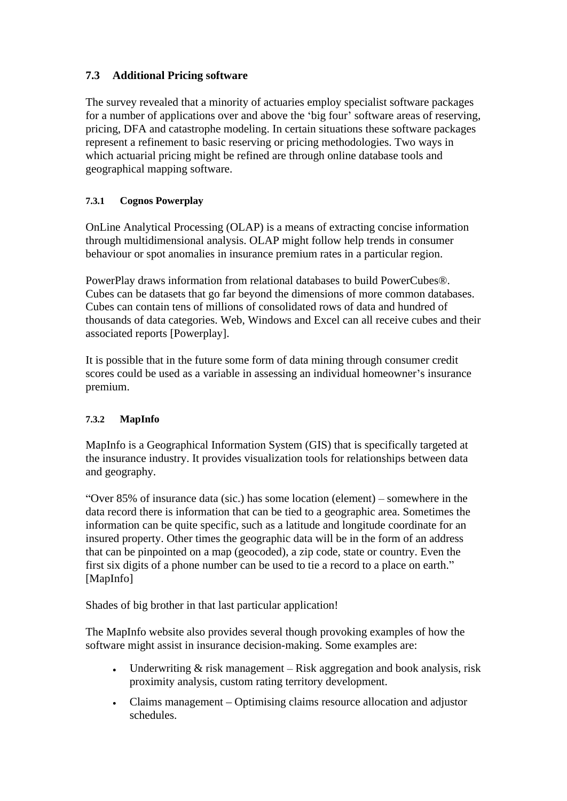### **7.3 Additional Pricing software**

The survey revealed that a minority of actuaries employ specialist software packages for a number of applications over and above the 'big four' software areas of reserving, pricing, DFA and catastrophe modeling. In certain situations these software packages represent a refinement to basic reserving or pricing methodologies. Two ways in which actuarial pricing might be refined are through online database tools and geographical mapping software.

### **7.3.1 Cognos Powerplay**

OnLine Analytical Processing (OLAP) is a means of extracting concise information through multidimensional analysis. OLAP might follow help trends in consumer behaviour or spot anomalies in insurance premium rates in a particular region.

PowerPlay draws information from relational databases to build PowerCubes®. Cubes can be datasets that go far beyond the dimensions of more common databases. Cubes can contain tens of millions of consolidated rows of data and hundred of thousands of data categories. Web, Windows and Excel can all receive cubes and their associated reports [Powerplay].

It is possible that in the future some form of data mining through consumer credit scores could be used as a variable in assessing an individual homeowner's insurance premium.

#### **7.3.2 MapInfo**

MapInfo is a Geographical Information System (GIS) that is specifically targeted at the insurance industry. It provides visualization tools for relationships between data and geography.

"Over 85% of insurance data (sic.) has some location (element) – somewhere in the data record there is information that can be tied to a geographic area. Sometimes the information can be quite specific, such as a latitude and longitude coordinate for an insured property. Other times the geographic data will be in the form of an address that can be pinpointed on a map (geocoded), a zip code, state or country. Even the first six digits of a phone number can be used to tie a record to a place on earth. [MapInfo]

Shades of big brother in that last particular application!

The MapInfo website also provides several though provoking examples of how the software might assist in insurance decision-making. Some examples are:

- Underwriting  $&$  risk management Risk aggregation and book analysis, risk proximity analysis, custom rating territory development.
- Claims management Optimising claims resource allocation and adjustor schedules.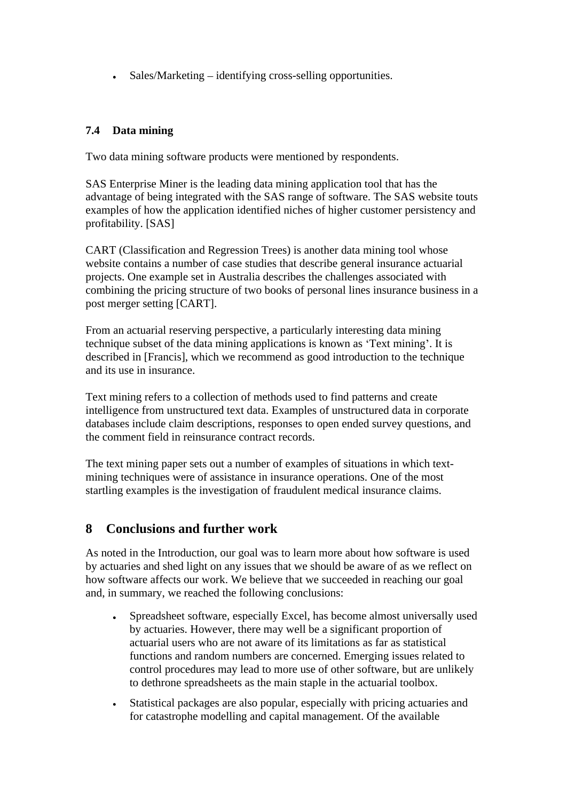$Sales/Marketing - identifying cross-selling opportunities.$ 

### **7.4 Data mining**

Two data mining software products were mentioned by respondents.

SAS Enterprise Miner is the leading data mining application tool that has the advantage of being integrated with the SAS range of software. The SAS website touts examples of how the application identified niches of higher customer persistency and profitability. [SAS]

CART (Classification and Regression Trees) is another data mining tool whose website contains a number of case studies that describe general insurance actuarial projects. One example set in Australia describes the challenges associated with combining the pricing structure of two books of personal lines insurance business in a post merger setting [CART].

From an actuarial reserving perspective, a particularly interesting data mining technique subset of the data mining applications is known as Text mining . It is described in [Francis], which we recommend as good introduction to the technique and its use in insurance.

Text mining refers to a collection of methods used to find patterns and create intelligence from unstructured text data. Examples of unstructured data in corporate databases include claim descriptions, responses to open ended survey questions, and the comment field in reinsurance contract records.

The text mining paper sets out a number of examples of situations in which text mining techniques were of assistance in insurance operations. One of the most startling examples is the investigation of fraudulent medical insurance claims.

### **8 Conclusions and further work**

As noted in the Introduction, our goal was to learn more about how software is used by actuaries and shed light on any issues that we should be aware of as we reflect on how software affects our work. We believe that we succeeded in reaching our goal and, in summary, we reached the following conclusions:

- Spreadsheet software, especially Excel, has become almost universally used by actuaries. However, there may well be a significant proportion of actuarial users who are not aware of its limitations as far as statistical functions and random numbers are concerned. Emerging issues related to control procedures may lead to more use of other software, but are unlikely to dethrone spreadsheets as the main staple in the actuarial toolbox.
- Statistical packages are also popular, especially with pricing actuaries and for catastrophe modelling and capital management. Of the available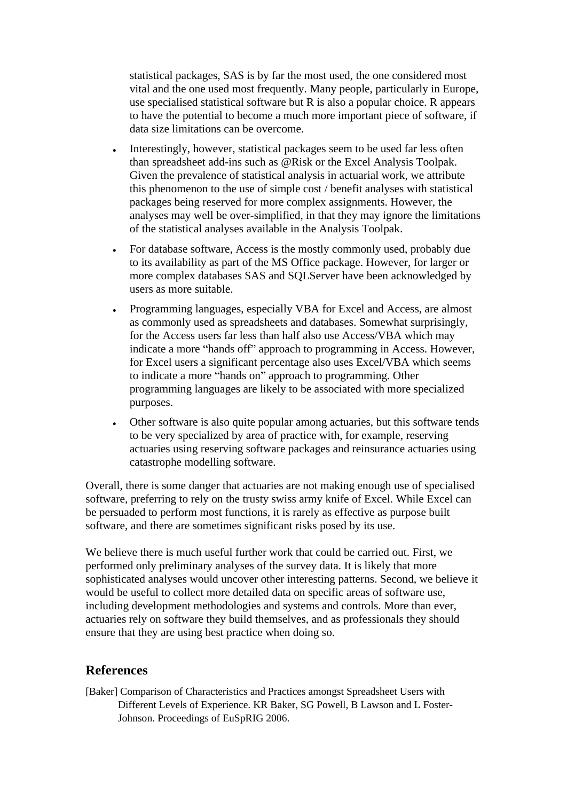statistical packages, SAS is by far the most used, the one considered most vital and the one used most frequently. Many people, particularly in Europe, use specialised statistical software but R is also a popular choice. R appears to have the potential to become a much more important piece of software, if data size limitations can be overcome.

- Interestingly, however, statistical packages seem to be used far less often than spreadsheet add-ins such as @Risk or the Excel Analysis Toolpak. Given the prevalence of statistical analysis in actuarial work, we attribute this phenomenon to the use of simple cost / benefit analyses with statistical packages being reserved for more complex assignments. However, the analyses may well be over-simplified, in that they may ignore the limitations of the statistical analyses available in the Analysis Toolpak.
- For database software, Access is the mostly commonly used, probably due to its availability as part of the MS Office package. However, for larger or more complex databases SAS and SQLServer have been acknowledged by users as more suitable.
- Programming languages, especially VBA for Excel and Access, are almost as commonly used as spreadsheets and databases. Somewhat surprisingly, for the Access users far less than half also use Access/VBA which may indicate a more "hands off" approach to programming in Access. However, for Excel users a significant percentage also uses Excel/VBA which seems to indicate a more "hands on" approach to programming. Other programming languages are likely to be associated with more specialized purposes.
- Other software is also quite popular among actuaries, but this software tends to be very specialized by area of practice with, for example, reserving actuaries using reserving software packages and reinsurance actuaries using catastrophe modelling software.

Overall, there is some danger that actuaries are not making enough use of specialised software, preferring to rely on the trusty swiss army knife of Excel. While Excel can be persuaded to perform most functions, it is rarely as effective as purpose built software, and there are sometimes significant risks posed by its use.

We believe there is much useful further work that could be carried out. First, we performed only preliminary analyses of the survey data. It is likely that more sophisticated analyses would uncover other interesting patterns. Second, we believe it would be useful to collect more detailed data on specific areas of software use, including development methodologies and systems and controls. More than ever, actuaries rely on software they build themselves, and as professionals they should ensure that they are using best practice when doing so.

### **References**

[Baker] Comparison of Characteristics and Practices amongst Spreadsheet Users with Different Levels of Experience. KR Baker, SG Powell, B Lawson and L Foster- Johnson. Proceedings of EuSpRIG 2006.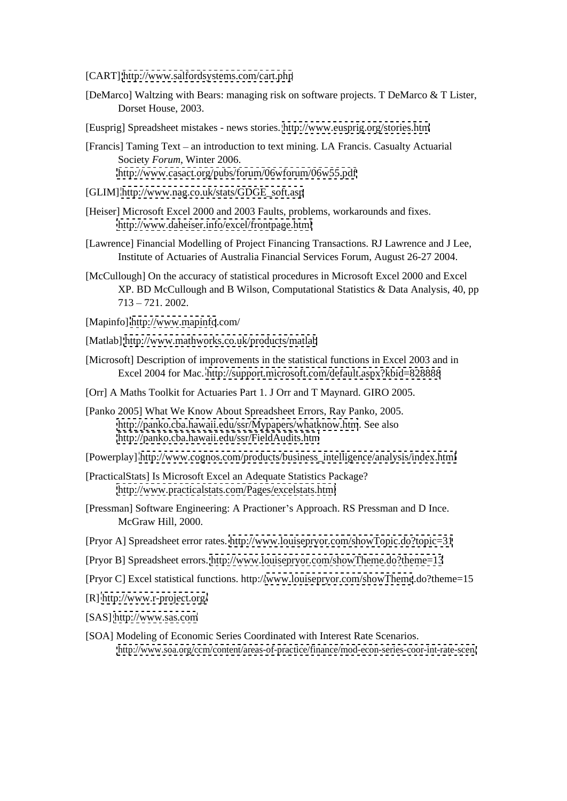[CART]<http://www.salfordsystems.com/cart.php>

- [DeMarco] Waltzing with Bears: managing risk on software projects. T DeMarco & T Lister, Dorset House, 2003.
- [Eusprig] Spreadsheet mistakes news stories.<http://www.eusprig.org/stories.htm>
- [Francis] Taming Text an introduction to text mining. LA Francis. Casualty Actuarial Society *Forum*, Winter 2006.<br><http://www.casact.org/pubs/forum/06wforum/06w55.pdf>
- [GLIM] [http://www.nag.co.uk/stats/GDGE\\_soft.asp](http://www.nag.co.uk/stats/GDGE_soft.asp)
- [Heiser] Microsoft Excel 2000 and 2003 Faults, problems, workarounds and fixes. <http://www.daheiser.info/excel/frontpage.html>
- [Lawrence] Financial Modelling of Project Financing Transactions. RJ Lawrence and J Lee, Institute of Actuaries of Australia Financial Services Forum, August 26-27 2004.
- [McCullough] On the accuracy of statistical procedures in Microsoft Excel 2000 and Excel XP. BD McCullough and B Wilson, Computational Statistics & Data Analysis, 40, pp  $713 - 721.2002.$
- [Mapinfo]<http://www.mapinfo>.com/
- [Matlab]<http://www.mathworks.co.uk/products/matlab>
- [Microsoft] Description of improvements in the statistical functions in Excel 2003 and in Excel 2004 for Mac.<http://support.microsoft.com/default.aspx?kbid=828888>
- [Orr] A Maths Toolkit for Actuaries Part 1. J Orr and T Maynard. GIRO 2005.
- [Panko 2005] What We Know About Spreadsheet Errors, Ray Panko, 2005. <http://panko.cba.hawaii.edu/ssr/Mypapers/whatknow.htm>. See also <http://panko.cba.hawaii.edu/ssr/FieldAudits.htm>
- [Powerplay] [http://www.cognos.com/products/business\\_intelligence/analysis/index.html](http://www.cognos.com/products/business_intelligence/analysis/index.html)
- [PracticalStats] Is Microsoft Excel an Adequate Statistics Package? <http://www.practicalstats.com/Pages/excelstats.html>
- [Pressman] Software Engineering: A Practioner's Approach. RS Pressman and D Ince. McGraw Hill, 2000.
- [Pryor A] Spreadsheet error rates.<http://www.louisepryor.com/showTopic.do?topic=31>
- [Pryor B] Spreadsheet errors.<http://www.louisepryor.com/showTheme.do?theme=13>
- [Pryor C] Excel statistical functions. http:/[/www.louisepryor.com/showTheme](http://www.louisepryor.com/showTheme).do?theme=15
- [R]<http://www.r-project.org/>
- [SAS] <http://www.sas.com>
- [SOA] Modeling of Economic Series Coordinated with Interest Rate Scenarios. <http://www.soa.org/ccm/content/areas-of-practice/finance/mod-econ-series-coor-int-rate-scen/>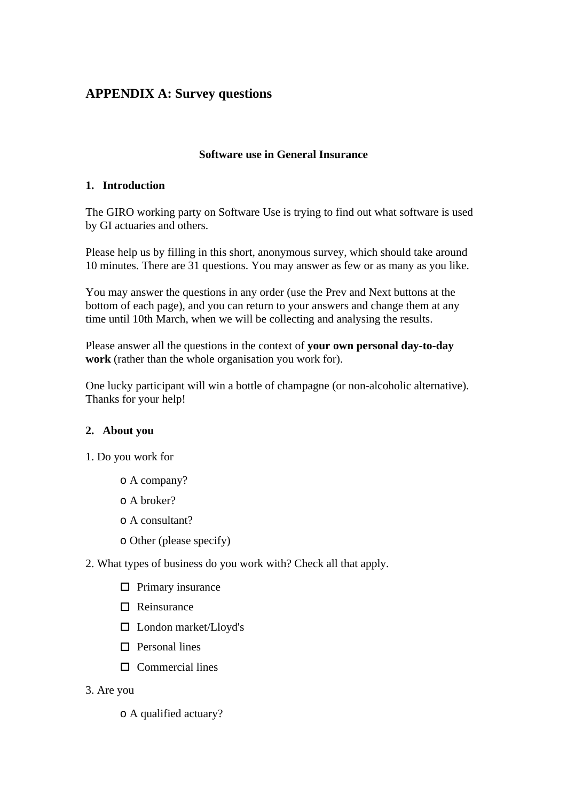## **APPENDIX A: Survey questions**

#### **Software use in General Insurance**

#### **1. Introduction**

The GIRO working party on Software Use is trying to find out what software is used by GI actuaries and others.

Please help us by filling in this short, anonymous survey, which should take around 10 minutes. There are 31 questions. You may answer as few or as many as you like.

You may answer the questions in any order (use the Prev and Next buttons at the bottom of each page), and you can return to your answers and change them at any time until 10th March, when we will be collecting and analysing the results.

Please answer all the questions in the context of **your own personal day-to-day work** (rather than the whole organisation you work for).

One lucky participant will win a bottle of champagne (or non-alcoholic alternative). Thanks for your help!

#### **2. About you**

- 1. Do you work for
	- o A company?
	- o A broker?
	- o A consultant?
	- o Other (please specify)
- 2. What types of business do you work with? Check all that apply.
	- Primary insurance **Primary** insurance
	- Reinsurance **Reference Reference Reference Reference**
	- □ London market/Lloyd's
	- Personal lines
	- Commercial lines
- 3. Are you
	- o A qualified actuary?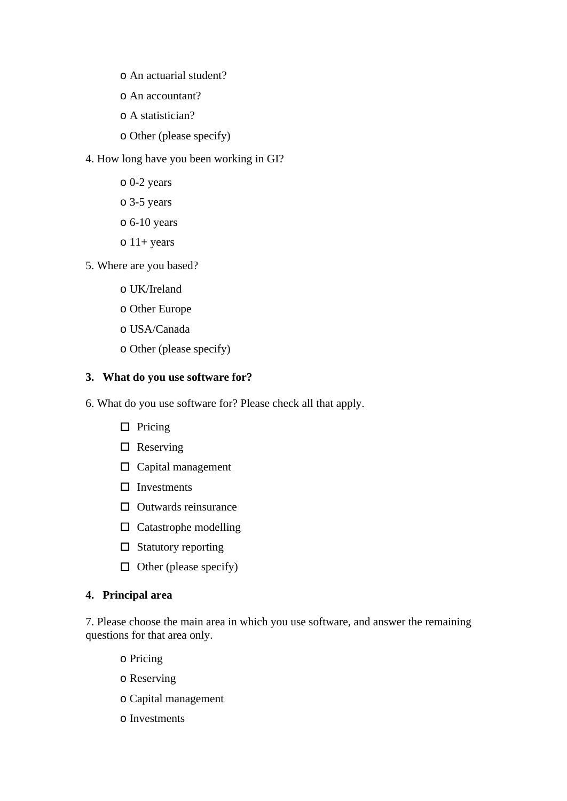- o An actuarial student?
- o An accountant?
- o A statistician?
- o Other (please specify)
- 4. How long have you been working in GI?
	- o 0-2 years
	- o 3-5 years
	- $\circ$  6-10 years
	- $\circ$  11+ years
- 5. Where are you based?
	- o UK/Ireland
	- o Other Europe
	- o USA/Canada
	- o Other (please specify)

#### **3. What do you use software for?**

6. What do you use software for? Please check all that apply.

- Pricing **Pricing**
- Reserving the second state of the second state  $\mathbb{R}^n$  and  $\mathbb{R}^n$  are set that  $\mathbb{R}^n$  and  $\mathbb{R}^n$  are set that  $\mathbb{R}^n$  are set that  $\mathbb{R}^n$  are set that  $\mathbb{R}^n$  are set that  $\mathbb{R}^n$  are set that
- $\square$  Capital management
- Investments
- Outwards reinsurance
- Catastrophe modelling
- Statutory reporting status of the status of the status of the status of the status of the status of the status of the status of the status of the status of the status of the status of the status of the status of the status
- $\Box$  Other (please specify)

#### **4. Principal area**

7. Please choose the main area in which you use software, and answer the remaining questions for that area only.

- o Pricing
- o Reserving
- o Capital management
- o Investments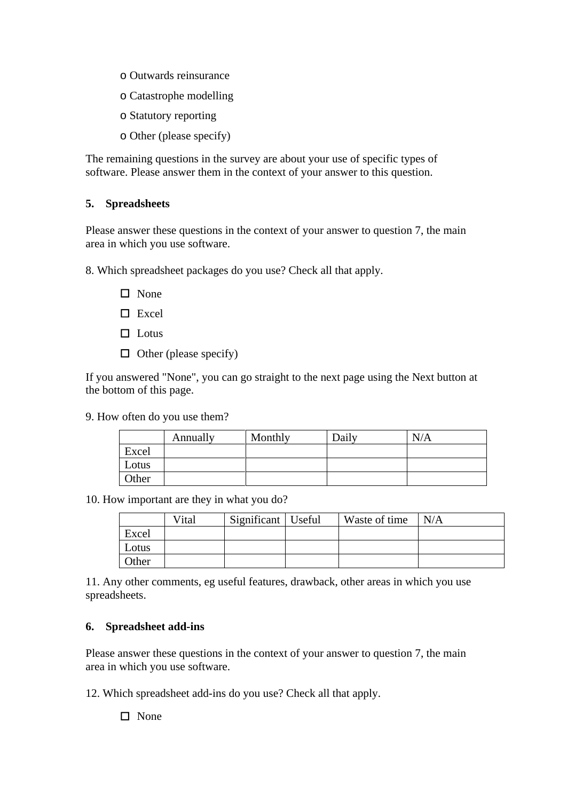- o Outwards reinsurance
- o Catastrophe modelling
- o Statutory reporting
- o Other (please specify)

The remaining questions in the survey are about your use of specific types of software. Please answer them in the context of your answer to this question.

#### **5. Spreadsheets**

Please answer these questions in the context of your answer to question 7, the main area in which you use software.

8. Which spreadsheet packages do you use? Check all that apply.

- None experience that the set of the set of the set of the set of the set of the set of the set of the set of the set of the set of the set of the set of the set of the set of the set of the set of the set of the set of the
- Excel and the set of the set of the set of the set of the set of the set of the set of the set of the set of the set of the set of the set of the set of the set of the set of the set of the set of the set of the set of the
- Lotus **Lotus Lotus Lotus Lotus Lotus Lotus Lotus Lotus Lotus Lotus Lotus Lotus Lotus Lotus Lotus Lotus Lotus Lotus Lotus Lotus Lotus Lotus Lotus Lotus Lotus Lotus Lotus**
- $\Box$  Other (please specify)

If you answered "None", you can go straight to the next page using the Next button at the bottom of this page.

9. How often do you use them?

|                                   | ниан у | $M_{\rm outh}$<br><u> 1980 - An t-Alban an t-Alban an t-Alban an t-Alban an t-Alban an t-Alban an t-Alban an t-Alban an t-Alban an</u> | <sup>1</sup> Daily | $   -$<br>$\mathbf{1}$ |
|-----------------------------------|--------|----------------------------------------------------------------------------------------------------------------------------------------|--------------------|------------------------|
| Excel                             |        |                                                                                                                                        |                    |                        |
|                                   |        |                                                                                                                                        |                    |                        |
| -Lotus                            |        |                                                                                                                                        |                    |                        |
|                                   |        |                                                                                                                                        |                    |                        |
| <b>Other</b>                      |        | ,我们也不会有什么。""我们,我们也不会有什么?""我们,我们也不会有什么?""我们,我们也不会有什么?""我们,我们也不会有什么?""我们,我们也不会有什么?                                                       |                    |                        |
| and the control of the control of |        | the contract of the contract of the contract of the contract of the contract of the contract of the contract of                        |                    |                        |

10. How important are they in what you do?

|           | V <sub>1</sub> tal | Useful<br>$\sim$ $\sim$<br>$\sim$ 1000111 $\sim$<br><b>Significant</b> | Waste of time | N/A<br>$  N/T_{\rm h} $ |
|-----------|--------------------|------------------------------------------------------------------------|---------------|-------------------------|
| Excel     |                    |                                                                        |               |                         |
| L Ofiis - |                    |                                                                        |               |                         |
| Other     |                    |                                                                        |               |                         |

11. Any other comments, eg useful features, drawback, other areas in which you use spreadsheets.

#### **6. Spreadsheet add-ins**

Please answer these questions in the context of your answer to question 7, the main area in which you use software.

12. Which spreadsheet add-ins do you use? Check all that apply.

 $\square$  None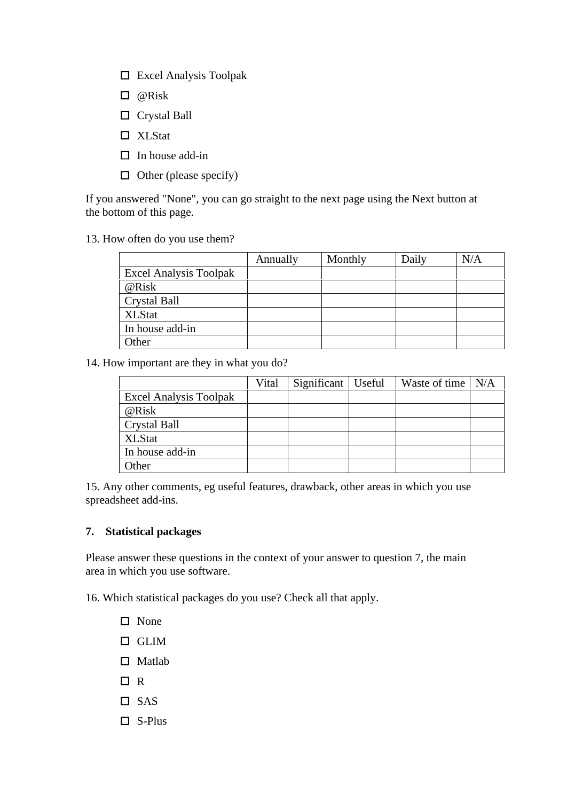- Excel Analysis Toolpak
- @Risk
- Crystal Ball
- XLStat
- In house add-in
- $\Box$  Other (please specify)

13. How often do you use them?

|                               | Annually | Monthly | Daily | N/A |
|-------------------------------|----------|---------|-------|-----|
| <b>Excel Analysis Toolpak</b> |          |         |       |     |
| @Risk                         |          |         |       |     |
| Crystal Ball                  |          |         |       |     |
| <b>XLStat</b>                 |          |         |       |     |
| In house add-in               |          |         |       |     |
| Other                         |          |         |       |     |

14. How important are they in what you do?

|                        | <u>Vital</u> Significant Useful Waste of time N/A |  |
|------------------------|---------------------------------------------------|--|
| Excel Analysis Toolpak |                                                   |  |
| @Risl                  |                                                   |  |
| Crystal Ball           |                                                   |  |
| <b>XLStat</b>          |                                                   |  |
| In house add-in        |                                                   |  |
| Other                  |                                                   |  |

15. Any other comments, eg useful features, drawback, other areas in which you use spreadsheet add-ins.

#### **7. Statistical packages**

Please answer these questions in the context of your answer to question 7, the main area in which you use software.

16. Which statistical packages do you use? Check all that apply.

- None experience that the same state of the state of the state of the state of the state of the state of the state of the state of the state of the state of the state of the state of the state of the state of the state of t
- GLIM
- Matlab **Matlab** and the set of the set of the set of the set of the set of the set of the set of the set of the set of the set of the set of the set of the set of the set of the set of the set of the set of the set of the
- R<sub>a</sub> and the contract of the contract of the contract of the contract of the contract of the contract of the contract of the contract of the contract of the contract of the contract of the contract of the contract of the c
- SAS
- $\square$  S-Plus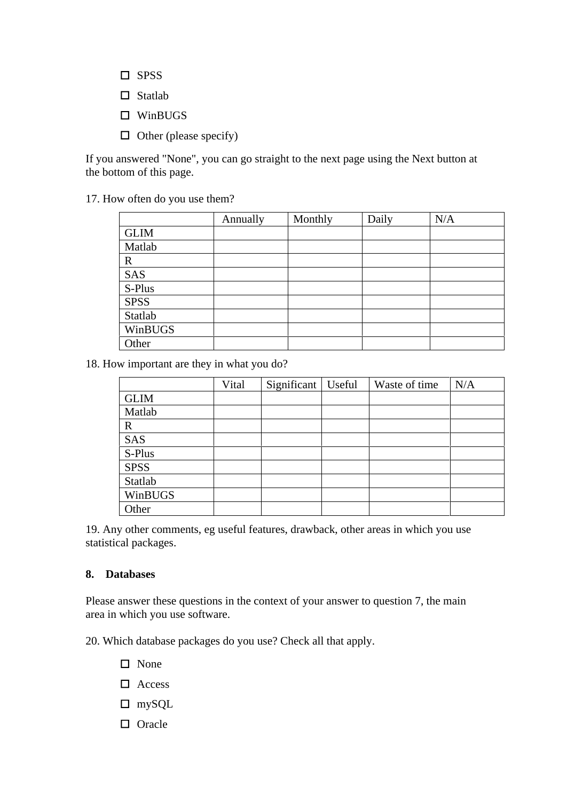- SPSS and the set of the set of the set of the set of the set of the set of the set of the set of the set of the set of the set of the set of the set of the set of the set of the set of the set of the set of the set of the
- Statlab **Statlab**
- WinBUGS **Example 20** Second 20 AU 20 AU 20 AU 20 AU 20 AU 20 AU 20 AU 20 AU 20 AU 20 AU 20 AU 20 AU 20 AU 20 AU 20 AU 20 AU 20 AU 20 AU 20 AU 20 AU 20 AU 20 AU 20 AU 20 AU 20 AU 20 AU 20 AU 20 AU 20 AU 20 AU 20 AU 20 AU 20
- $\Box$  Other (please specify)

17. How often do you use them?

|             | Annually | Monthly | Daily | N/A |
|-------------|----------|---------|-------|-----|
| <b>GLIM</b> |          |         |       |     |
| Matlab      |          |         |       |     |
|             |          |         |       |     |
| SAS         |          |         |       |     |
| S-Plus      |          |         |       |     |
| <b>SPSS</b> |          |         |       |     |
| Statlab     |          |         |       |     |
| WinBUGS     |          |         |       |     |
| Other       |          |         |       |     |

18. How important are they in what you do?

|                                                  | Vital Significant Useful Waste of time N/A |  |  |
|--------------------------------------------------|--------------------------------------------|--|--|
| <b>GLIM</b><br>the control of the control of the |                                            |  |  |
| Matlab                                           |                                            |  |  |
|                                                  |                                            |  |  |
| SAS                                              |                                            |  |  |
| S-Plus                                           |                                            |  |  |
| <b>SPSS</b>                                      |                                            |  |  |
| Statlab                                          |                                            |  |  |
| WinBUGS                                          |                                            |  |  |
| Other                                            |                                            |  |  |

19. Any other comments, eg useful features, drawback, other areas in which you use statistical packages.

#### **8. Databases**

Please answer these questions in the context of your answer to question 7, the main area in which you use software.

20. Which database packages do you use? Check all that apply.

- None experience that the same state of the state of the state of the state of the state of the state of the state of the state of the state of the state of the state of the state of the state of the state of the state of t
- Access and the set of the set of the set of the set of the set of the set of the set of the set of the set of the set of the set of the set of the set of the set of the set of the set of the set of the set of the set of th
- mySQL
- $\Box$  Oracle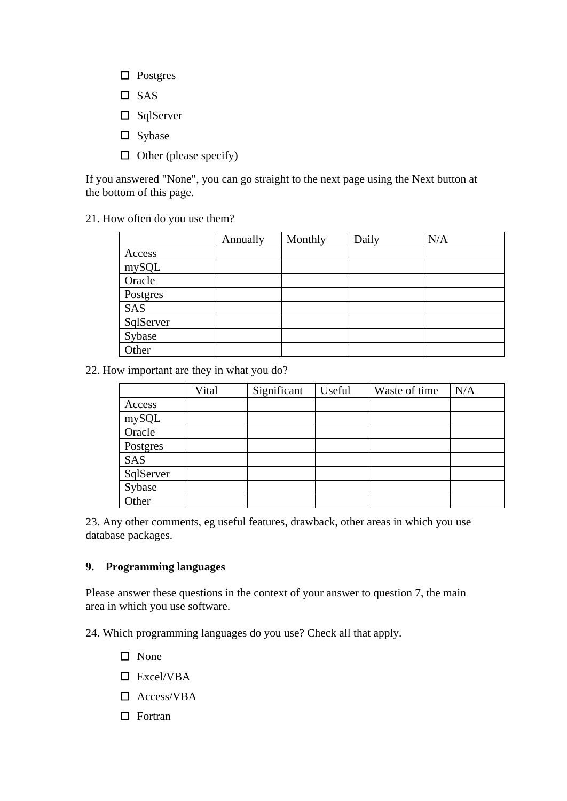- Postgres and the set of the set of the set of the set of the set of the set of the set of the set of the set of the set of the set of the set of the set of the set of the set of the set of the set of the set of the set of
- SAS **SAS**
- SqlServer
- Sybase **Systems**
- $\Box$  Other (please specify)

21. How often do you use them?

|           | <b>Annually</b> | Monthly | Daily | N/A |
|-----------|-----------------|---------|-------|-----|
| Access    |                 |         |       |     |
| mySQL     |                 |         |       |     |
| Oracle    |                 |         |       |     |
| Postgres  |                 |         |       |     |
| SAS       |                 |         |       |     |
| SqlServer |                 |         |       |     |
| Sybase    |                 |         |       |     |
| Other     |                 |         |       |     |

22. How important are they in what you do?

|                  | Vital | Significant | Useful | Waste of time $N/A$ |  |
|------------------|-------|-------------|--------|---------------------|--|
|                  |       |             |        |                     |  |
| Access<br>mySQL  |       |             |        |                     |  |
| Oracle           |       |             |        |                     |  |
| Postgres         |       |             |        |                     |  |
|                  |       |             |        |                     |  |
| SAS<br>SqlServer |       |             |        |                     |  |
| Sybase           |       |             |        |                     |  |
| Other            |       |             |        |                     |  |

23. Any other comments, eg useful features, drawback, other areas in which you use database packages.

#### **9. Programming languages**

Please answer these questions in the context of your answer to question 7, the main area in which you use software.

24. Which programming languages do you use? Check all that apply.

- None experience that the set of the set of the set of the set of the set of the set of the set of the set of the set of the set of the set of the set of the set of the set of the set of the set of the set of the set of the
- Excel/VBA
- Access/VBA
- $\Box$  Fortran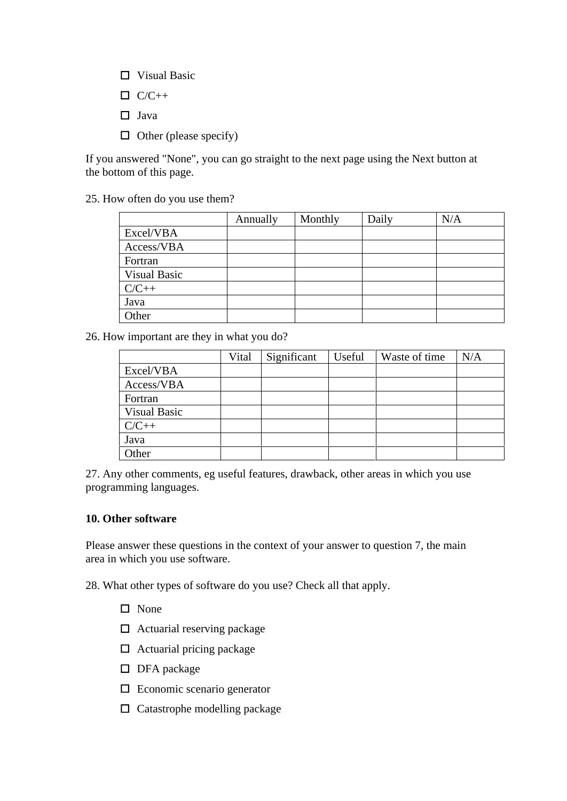- Visual Basic
- $C/C++$
- Java
- $\Box$  Other (please specify)

25. How often do you use them?

|              | Annually | Monthly | $\vert$ Daily | N/A |
|--------------|----------|---------|---------------|-----|
| Excel/VBA    |          |         |               |     |
| Access/VBA   |          |         |               |     |
| Fortran      |          |         |               |     |
| Visual Basic |          |         |               |     |
| .∕ \ .+      |          |         |               |     |
| Java         |          |         |               |     |
| <b>Other</b> |          |         |               |     |

26. How important are they in what you do?

|              |  | Vital Significant Useful Waste of time N/A |  |
|--------------|--|--------------------------------------------|--|
| Excel/VBA    |  |                                            |  |
| Access/VBA   |  |                                            |  |
| Fortran      |  |                                            |  |
| Visual Basic |  |                                            |  |
| /\ .+        |  |                                            |  |
|              |  |                                            |  |
| Other        |  |                                            |  |

27. Any other comments, eg useful features, drawback, other areas in which you use programming languages.

#### **10. Other software**

Please answer these questions in the context of your answer to question 7, the main area in which you use software.

28. What other types of software do you use? Check all that apply.

- None experience that the same state of the state of the state of the state of the state of the state of the state of the state of the state of the state of the state of the state of the state of the state of the state of t
- $\Box$  Actuarial reserving package
- $\Box$  Actuarial pricing package
- DFA package
- $\square$  Economic scenario generator
- $\square$  Catastrophe modelling package